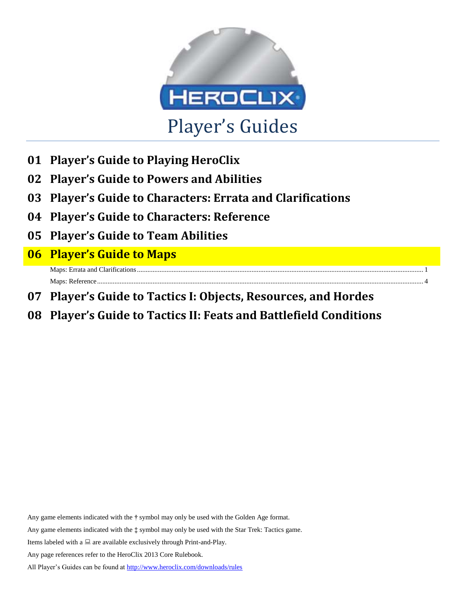

- **01 Player's Guide to Playing HeroClix**
- **02 Player's Guide to Powers and Abilities**
- **03 Player's Guide to Characters: Errata and Clarifications**
- **04 Player's Guide to Characters: Reference**
- **05 Player's Guide to Team Abilities**
- **06 Player's Guide to Maps**

Maps: Errata and Clarifications.............. Maps: Reference.............

- **07 Player's Guide to Tactics I: Objects, Resources, and Hordes**
- **08 Player's Guide to Tactics II: Feats and Battlefield Conditions**

Any game elements indicated with the **†** symbol may only be used with the Golden Age format.

Any game elements indicated with the **‡** symbol may only be used with the Star Trek: Tactics game.

Items labeled with a  $\Box$  are available exclusively through Print-and-Play.

Any page references refer to the HeroClix 2013 Core Rulebook.

All Player's Guides can be found a[t http://www.heroclix.com/downloads/rules](http://www.heroclix.com/downloads/rules)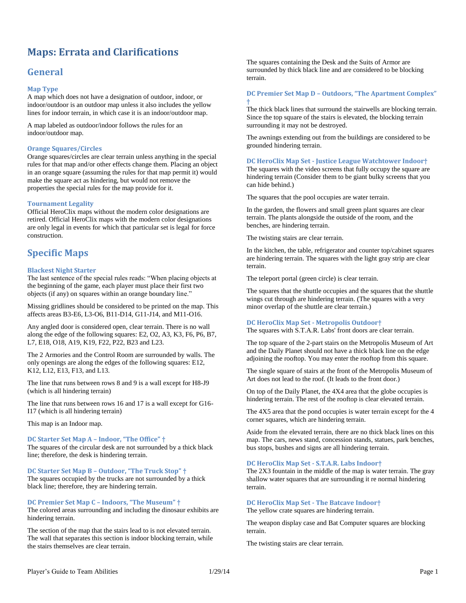# <span id="page-1-0"></span>**Maps: Errata and Clarifications**

# **General**

#### **Map Type**

A map which does not have a designation of outdoor, indoor, or indoor/outdoor is an outdoor map unless it also includes the yellow lines for indoor terrain, in which case it is an indoor/outdoor map.

A map labeled as outdoor/indoor follows the rules for an indoor/outdoor map.

#### **Orange Squares/Circles**

Orange squares/circles are clear terrain unless anything in the special rules for that map and/or other effects change them. Placing an object in an orange square (assuming the rules for that map permit it) would make the square act as hindering, but would not remove the properties the special rules for the map provide for it.

#### **Tournament Legality**

Official HeroClix maps without the modern color designations are retired. Official HeroClix maps with the modern color designations are only legal in events for which that particular set is legal for force construction.

# **Specific Maps**

#### **Blackest Night Starter**

The last sentence of the special rules reads: "When placing objects at the beginning of the game, each player must place their first two objects (if any) on squares within an orange boundary line."

Missing gridlines should be considered to be printed on the map. This affects areas B3-E6, L3-O6, B11-D14, G11-J14, and M11-O16.

Any angled door is considered open, clear terrain. There is no wall along the edge of the following squares: E2, O2, A3, K3, F6, P6, B7, L7, E18, O18, A19, K19, F22, P22, B23 and L23.

The 2 Armories and the Control Room are surrounded by walls. The only openings are along the edges of the following squares: E12, K12, L12, E13, F13, and L13.

The line that runs between rows 8 and 9 is a wall except for H8-J9 (which is all hindering terrain)

The line that runs between rows 16 and 17 is a wall except for G16- I17 (which is all hindering terrain)

This map is an Indoor map.

## **DC Starter Set Map A – Indoor, "The Office" †**

The squares of the circular desk are not surrounded by a thick black line; therefore, the desk is hindering terrain.

**DC Starter Set Map B – Outdoor, "The Truck Stop" †**

The squares occupied by the trucks are not surrounded by a thick black line; therefore, they are hindering terrain.

#### **DC Premier Set Map C – Indoors, "The Museum" †**

The colored areas surrounding and including the dinosaur exhibits are hindering terrain.

The section of the map that the stairs lead to is not elevated terrain. The wall that separates this section is indoor blocking terrain*,* while the stairs themselves are clear terrain.

The squares containing the Desk and the Suits of Armor are surrounded by thick black line and are considered to be blocking terrain.

#### **DC Premier Set Map D – Outdoors, "The Apartment Complex" †**

The thick black lines that surround the stairwells are blocking terrain. Since the top square of the stairs is elevated, the blocking terrain surrounding it may not be destroyed.

The awnings extending out from the buildings are considered to be grounded hindering terrain.

#### **DC HeroClix Map Set - Justice League Watchtower Indoor†**

The squares with the video screens that fully occupy the square are hindering terrain (Consider them to be giant bulky screens that you can hide behind.)

The squares that the pool occupies are water terrain.

In the garden, the flowers and small green plant squares are clear terrain. The plants alongside the outside of the room, and the benches, are hindering terrain.

The twisting stairs are clear terrain.

In the kitchen, the table, refrigerator and counter top/cabinet squares are hindering terrain. The squares with the light gray strip are clear terrain.

The teleport portal (green circle) is clear terrain.

The squares that the shuttle occupies and the squares that the shuttle wings cut through are hindering terrain. (The squares with a very minor overlap of the shuttle are clear terrain.)

#### **DC HeroClix Map Set - Metropolis Outdoor†**

The squares with S.T.A.R. Labs' front doors are clear terrain.

The top square of the 2-part stairs on the Metropolis Museum of Art and the Daily Planet should not have a thick black line on the edge adjoining the rooftop. You may enter the rooftop from this square.

The single square of stairs at the front of the Metropolis Museum of Art does not lead to the roof. (It leads to the front door.)

On top of the Daily Planet, the 4X4 area that the globe occupies is hindering terrain. The rest of the rooftop is clear elevated terrain.

The 4X5 area that the pond occupies is water terrain except for the 4 corner squares, which are hindering terrain.

Aside from the elevated terrain, there are no thick black lines on this map. The cars, news stand, concession stands, statues, park benches, bus stops, bushes and signs are all hindering terrain.

#### **DC HeroClix Map Set - S.T.A.R. Labs Indoor†**

The 2X3 fountain in the middle of the map is water terrain. The gray shallow water squares that are surrounding it re normal hindering terrain.

### **DC HeroClix Map Set - The Batcave Indoor†**

The yellow crate squares are hindering terrain.

The weapon display case and Bat Computer squares are blocking terrain.

The twisting stairs are clear terrain.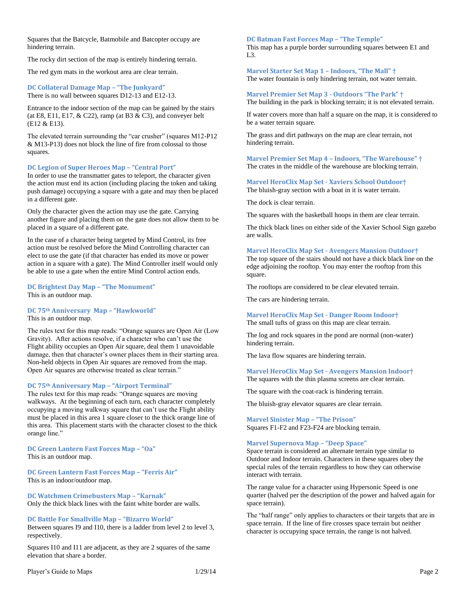Squares that the Batcycle, Batmobile and Batcopter occupy are hindering terrain.

The rocky dirt section of the map is entirely hindering terrain.

The red gym mats in the workout area are clear terrain.

#### **DC Collateral Damage Map – "The Junkyard"** There is no wall between squares D12-13 and E12-13.

Entrance to the indoor section of the map can be gained by the stairs (at E8, E11, E17,  $& C22$ ), ramp (at B3  $& C3$ ), and conveyer belt (E12 & E13).

The elevated terrain surrounding the "car crusher" (squares M12-P12 & M13-P13) does not block the line of fire from colossal to those squares.

#### **DC Legion of Super Heroes Map – "Central Port"**

In order to use the transmatter gates to teleport, the character given the action must end its action (including placing the token and taking push damage) occupying a square with a gate and may then be placed in a different gate.

Only the character given the action may use the gate. Carrying another figure and placing them on the gate does not allow them to be placed in a square of a different gate.

In the case of a character being targeted by Mind Control, its free action must be resolved before the Mind Controlling character can elect to use the gate (if that character has ended its move or power action in a square with a gate). The Mind Controller itself would only be able to use a gate when the entire Mind Control action ends.

#### **DC Brightest Day Map – "The Monument"** This is an outdoor map.

# **DC 75th Anniversary Map – "Hawkworld"**

This is an outdoor map.

The rules text for this map reads: "Orange squares are Open Air (Low Gravity). After actions resolve, if a character who can't use the Flight ability occupies an Open Air square, deal them 1 unavoidable damage, then that character's owner places them in their starting area. Non-held objects in Open Air squares are removed from the map. Open Air squares are otherwise treated as clear terrain."

#### **DC 75th Anniversary Map – "Airport Terminal"**

The rules text for this map reads: "Orange squares are moving walkways. At the beginning of each turn, each character completely occupying a moving walkway square that can't use the Flight ability must be placed in this area 1 square closer to the thick orange line of this area. This placement starts with the character closest to the thick orange line."

**DC Green Lantern Fast Forces Map – "Oa"** This is an outdoor map.

**DC Green Lantern Fast Forces Map – "Ferris Air"** This is an indoor/outdoor map.

**DC Watchmen Crimebusters Map – "Karnak"** Only the thick black lines with the faint white border are walls.

#### **DC Battle For Smallville Map – "Bizarro World"**

Between squares I9 and I10, there is a ladder from level 2 to level 3, respectively.

Squares I10 and I11 are adjacent, as they are 2 squares of the same elevation that share a border.

#### Player's Guide to Maps 2 and 1/29/14 Player's Guide to Maps 2

#### **DC Batman Fast Forces Map – "The Temple"**

This map has a purple border surrounding squares between E1 and L3.

**Marvel Starter Set Map 1 – Indoors, "The Mall" †** The water fountain is only hindering terrain, not water terrain.

#### **Marvel Premier Set Map 3 - Outdoors "The Park" †** The building in the park is blocking terrain; it is not elevated terrain.

If water covers more than half a square on the map, it is considered to be a water terrain square.

The grass and dirt pathways on the map are clear terrain, not hindering terrain.

**Marvel Premier Set Map 4 – Indoors, "The Warehouse" †** The crates in the middle of the warehouse are blocking terrain.

#### **Marvel HeroClix Map Set - Xaviers School Outdoor†**

The bluish-gray section with a boat in it is water terrain.

The dock is clear terrain.

The squares with the basketball hoops in them are clear terrain.

The thick black lines on either side of the Xavier School Sign gazebo are walls.

#### **Marvel HeroClix Map Set - Avengers Mansion Outdoor†**

The top square of the stairs should not have a thick black line on the edge adjoining the rooftop. You may enter the rooftop from this square.

The rooftops are considered to be clear elevated terrain.

The cars are hindering terrain.

#### **Marvel HeroClix Map Set - Danger Room Indoor†** The small tufts of grass on this map are clear terrain.

The log and rock squares in the pond are normal (non-water) hindering terrain.

The lava flow squares are hindering terrain.

#### **Marvel HeroClix Map Set - Avengers Mansion Indoor†** The squares with the thin plasma screens are clear terrain.

The square with the coat-rack is hindering terrain.

The bluish-gray elevator squares are clear terrain.

**Marvel Sinister Map – "The Prison"** Squares F1-F2 and F23-F24 are blocking terrain.

#### **Marvel Supernova Map – "Deep Space"**

Space terrain is considered an alternate terrain type similar to Outdoor and Indoor terrain. Characters in these squares obey the special rules of the terrain regardless to how they can otherwise interact with terrain.

The range value for a character using Hypersonic Speed is one quarter (halved per the description of the power and halved again for space terrain).

The "half range" only applies to characters or their targets that are in space terrain. If the line of fire crosses space terrain but neither character is occupying space terrain, the range is not halved.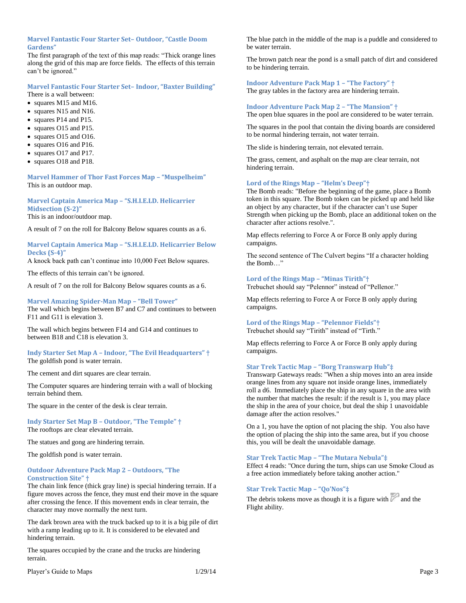#### **Marvel Fantastic Four Starter Set– Outdoor, "Castle Doom Gardens"**

The first paragraph of the text of this map reads: "Thick orange lines along the grid of this map are force fields. The effects of this terrain can't be ignored."

### **Marvel Fantastic Four Starter Set– Indoor, "Baxter Building"**

There is a wall between:

- squares M15 and M16.
- squares N15 and N16.
- squares P14 and P15.
- squares O15 and P15.
- squares O15 and O16.
- squares O16 and P16.
- squares O17 and P17.
- squares O18 and P18.

**Marvel Hammer of Thor Fast Forces Map – "Muspelheim"** This is an outdoor map.

#### **Marvel Captain America Map – "S.H.I.E.LD. Helicarrier Midsection (S-2)"** This is an indoor/outdoor map.

A result of 7 on the roll for Balcony Below squares counts as a 6.

#### **Marvel Captain America Map – "S.H.I.E.LD. Helicarrier Below Decks (S-4)"**

A knock back path can't continue into 10,000 Feet Below squares.

The effects of this terrain can't be ignored.

A result of 7 on the roll for Balcony Below squares counts as a 6.

#### **Marvel Amazing Spider-Man Map – "Bell Tower"** The wall which begins between B7 and C7 and continues to between F11 and G11 is elevation 3.

The wall which begins between F14 and G14 and continues to between B18 and C18 is elevation 3.

#### **Indy Starter Set Map A – Indoor, "The Evil Headquarters" †** The goldfish pond is water terrain.

The cement and dirt squares are clear terrain.

The Computer squares are hindering terrain with a wall of blocking terrain behind them.

The square in the center of the desk is clear terrain.

**Indy Starter Set Map B – Outdoor, "The Temple" †** The rooftops are clear elevated terrain.

The statues and gong are hindering terrain.

The goldfish pond is water terrain.

#### **Outdoor Adventure Pack Map 2 – Outdoors, "The Construction Site" †**

The chain link fence (thick gray line) is special hindering terrain. If a figure moves across the fence, they must end their move in the square after crossing the fence. If this movement ends in clear terrain, the character may move normally the next turn.

The dark brown area with the truck backed up to it is a big pile of dirt with a ramp leading up to it. It is considered to be elevated and hindering terrain.

The squares occupied by the crane and the trucks are hindering terrain.

Player's Guide to Maps 21/29/14 Player's Guide to Maps

The blue patch in the middle of the map is a puddle and considered to be water terrain.

The brown patch near the pond is a small patch of dirt and considered to be hindering terrain.

# **Indoor Adventure Pack Map 1 – "The Factory" †**

The gray tables in the factory area are hindering terrain.

#### **Indoor Adventure Pack Map 2 – "The Mansion" †**

The open blue squares in the pool are considered to be water terrain.

The squares in the pool that contain the diving boards are considered to be normal hindering terrain, not water terrain.

The slide is hindering terrain, not elevated terrain.

The grass, cement, and asphalt on the map are clear terrain, not hindering terrain.

#### **Lord of the Rings Map – "Helm's Deep"†**

The Bomb reads: "Before the beginning of the game, place a Bomb token in this square. The Bomb token can be picked up and held like an object by any character, but if the character can't use Super Strength when picking up the Bomb, place an additional token on the character after actions resolve.".

Map effects referring to Force A or Force B only apply during campaigns.

The second sentence of The Culvert begins "If a character holding the Bomb…"

#### **Lord of the Rings Map – "Minas Tirith"†**

Trebuchet should say "Pelennor" instead of "Pellenor."

Map effects referring to Force A or Force B only apply during campaigns.

#### **Lord of the Rings Map – "Pelennor Fields"†**

Trebuchet should say "Tirith" instead of "Tirth."

Map effects referring to Force A or Force B only apply during campaigns.

#### **Star Trek Tactic Map – "Borg Transwarp Hub"‡**

Transwarp Gateways reads: "When a ship moves into an area inside orange lines from any square not inside orange lines, immediately roll a d6. Immediately place the ship in any square in the area with the number that matches the result: if the result is 1, you may place the ship in the area of your choice, but deal the ship 1 unavoidable damage after the action resolves."

On a 1, you have the option of not placing the ship. You also have the option of placing the ship into the same area, but if you choose this, you will be dealt the unavoidable damage.

#### **Star Trek Tactic Map – "The Mutara Nebula"‡**

Effect 4 reads: "Once during the turn, ships can use Smoke Cloud as a free action immediately before taking another action."

#### **Star Trek Tactic Map – "Qo'Nos"‡**

The debris tokens move as though it is a figure with  $\mathbb{Z}$  and the Flight ability.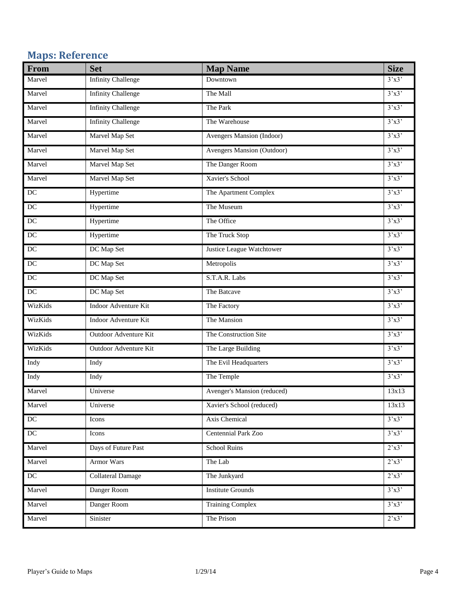# <span id="page-4-0"></span>**Maps: Reference**

| From                | <b>Set</b>                | <b>Map Name</b>             | <b>Size</b>             |
|---------------------|---------------------------|-----------------------------|-------------------------|
| Marvel              | <b>Infinity Challenge</b> | Downtown                    | 3'x3'                   |
| Marvel              | <b>Infinity Challenge</b> | The Mall                    | 3'x3'                   |
| Marvel              | <b>Infinity Challenge</b> | The Park                    | 3'x3'                   |
| Marvel              | <b>Infinity Challenge</b> | The Warehouse               | 3'x3'                   |
| Marvel              | Marvel Map Set            | Avengers Mansion (Indoor)   | 3'x3'                   |
| Marvel              | Marvel Map Set            | Avengers Mansion (Outdoor)  | 3'x3'                   |
| Marvel              | Marvel Map Set            | The Danger Room             | 3'x3'                   |
| Marvel              | Marvel Map Set            | Xavier's School             | 3'x3'                   |
| $\overline{DC}$     | Hypertime                 | The Apartment Complex       | 3'x3'                   |
| DC                  | Hypertime                 | The Museum                  | 3'x3'                   |
| $\operatorname{DC}$ | Hypertime                 | The Office                  | 3'x3'                   |
| $\overline{DC}$     | Hypertime                 | The Truck Stop              | 3'x3'                   |
| $\overline{DC}$     | DC Map Set                | Justice League Watchtower   | 3'x3'                   |
| $DC$                | DC Map Set                | Metropolis                  | 3'x3'                   |
| DC                  | DC Map Set                | S.T.A.R. Labs               | 3'x3'                   |
| $\overline{DC}$     | DC Map Set                | The Batcave                 | 3'x3'                   |
| WizKids             | Indoor Adventure Kit      | The Factory                 | 3'x3'                   |
| WizKids             | Indoor Adventure Kit      | The Mansion                 | 3'x3'                   |
| WizKids             | Outdoor Adventure Kit     | The Construction Site       | 3'x3'                   |
| WizKids             | Outdoor Adventure Kit     | The Large Building          | 3'x3'                   |
| Indy                | Indy                      | The Evil Headquarters       | 3'x3'                   |
| Indy                | Indy                      | The Temple                  | 3'x3'                   |
| Marvel              | Universe                  | Avenger's Mansion (reduced) | 13x13                   |
| Marvel              | Universe                  | Xavier's School (reduced)   | 13x13                   |
| DC                  | Icons                     | Axis Chemical               | 3'x3'                   |
| $\overline{DC}$     | Icons                     | Centennial Park Zoo         | 3'x3'                   |
| Marvel              | Days of Future Past       | <b>School Ruins</b>         | 2'x3'                   |
| Marvel              | Armor Wars                | The Lab                     | $2^{\prime}x3^{\prime}$ |
| $\overline{DC}$     | <b>Collateral Damage</b>  | The Junkyard                | $2^{\prime}x3^{\prime}$ |
| Marvel              | Danger Room               | <b>Institute Grounds</b>    | 3'x3'                   |
| Marvel              | Danger Room               | <b>Training Complex</b>     | 3'x3'                   |
| Marvel              | Sinister                  | The Prison                  | $2^{\prime}x3$          |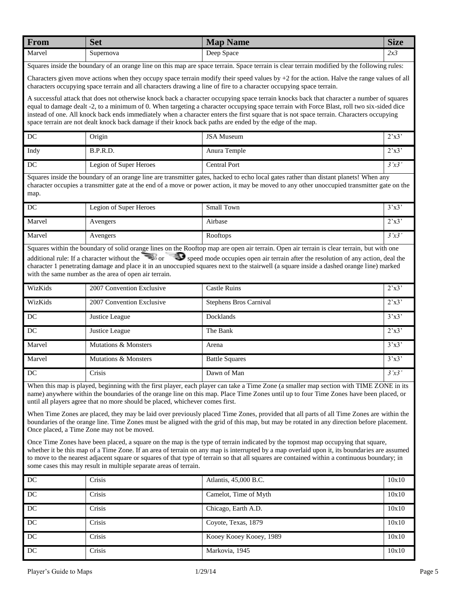| <b>From</b> | $\sim$<br>Set | - -<br>Map<br><b>Name</b> | $\sim$<br>Size                           |
|-------------|---------------|---------------------------|------------------------------------------|
| Marvel      | Supernova     | Deep<br>Space             | $\overline{\phantom{a}}$<br>مە !<br>ل در |

Squares inside the boundary of an orange line on this map are space terrain. Space terrain is clear terrain modified by the following rules:

Characters given move actions when they occupy space terrain modify their speed values by  $+2$  for the action. Halve the range values of all characters occupying space terrain and all characters drawing a line of fire to a character occupying space terrain.

A successful attack that does not otherwise knock back a character occupying space terrain knocks back that character a number of squares equal to damage dealt -2, to a minimum of 0. When targeting a character occupying space terrain with Force Blast, roll two six-sided dice instead of one. All knock back ends immediately when a character enters the first square that is not space terrain. Characters occupying space terrain are not dealt knock back damage if their knock back paths are ended by the edge of the map.

| DC   | <b>Origin</b>          | <b>JSA Museum</b> | $2^{\prime}x3'$ |
|------|------------------------|-------------------|-----------------|
| Indy | B.P.R.D.               | Anura Temple      | $2^{\prime}x3'$ |
| DC   | Legion of Super Heroes | Central Port      | 3'x3'           |

Squares inside the boundary of an orange line are transmitter gates, hacked to echo local gates rather than distant planets! When any character occupies a transmitter gate at the end of a move or power action, it may be moved to any other unoccupied transmitter gate on the map.

| DC     | Legion of Super Heroes | Small Town | 3'x3                    |
|--------|------------------------|------------|-------------------------|
| Marvel | Avengers               | Airbase    | $2^{\prime}x3^{\prime}$ |
| Marvel | Avengers               | Rooftops   | 3'x3                    |

Squares within the boundary of solid orange lines on the Rooftop map are open air terrain. Open air terrain is clear terrain, but with one additional rule: If a character without the  $\Box$  or  $\Box$  speed mode occupies open air terrain after the resolution of any action, deal the

character 1 penetrating damage and place it in an unoccupied squares next to the stairwell (a square inside a dashed orange line) marked with the same number as the area of open air terrain.

| WizKids | 2007 Convention Exclusive | <b>Castle Ruins</b>    | $2^{\prime}x3'$         |
|---------|---------------------------|------------------------|-------------------------|
| WizKids | 2007 Convention Exclusive | Stephens Bros Carnival | $2^{\prime}x3^{\prime}$ |
| DC      | Justice League            | Docklands              | 3'x3'                   |
| DC      | Justice League            | The Bank               | $2^{\prime}x3^{\prime}$ |
| Marvel  | Mutations & Monsters      | Arena                  | 3'x3'                   |
| Marvel  | Mutations & Monsters      | <b>Battle Squares</b>  | 3'x3'                   |
| DC      | Crisis                    | Dawn of Man            | 3'x3'                   |

When this map is played, beginning with the first player, each player can take a Time Zone (a smaller map section with TIME ZONE in its name) anywhere within the boundaries of the orange line on this map. Place Time Zones until up to four Time Zones have been placed, or until all players agree that no more should be placed, whichever comes first.

When Time Zones are placed, they may be laid over previously placed Time Zones, provided that all parts of all Time Zones are within the boundaries of the orange line. Time Zones must be aligned with the grid of this map, but may be rotated in any direction before placement. Once placed, a Time Zone may not be moved.

Once Time Zones have been placed, a square on the map is the type of terrain indicated by the topmost map occupying that square, whether it be this map of a Time Zone. If an area of terrain on any map is interrupted by a map overlaid upon it, its boundaries are assumed to move to the nearest adjacent square or squares of that type of terrain so that all squares are contained within a continuous boundary; in some cases this may result in multiple separate areas of terrain.

| DC | Crisis | Atlantis, 45,000 B.C.   | 10x10 |
|----|--------|-------------------------|-------|
| DC | Crisis | Camelot, Time of Myth   | 10x10 |
| DC | Crisis | Chicago, Earth A.D.     | 10x10 |
| DC | Crisis | Coyote, Texas, 1879     | 10x10 |
| DC | Crisis | Kooey Kooey Kooey, 1989 | 10x10 |
| DC | Crisis | Markovia, 1945          | 10x10 |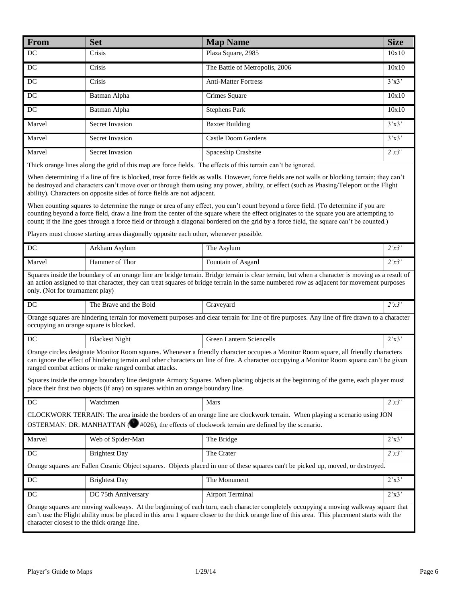| From                                        | <b>Set</b>                                                                                                                                                                                                                                                                                                                       | <b>Map Name</b>                                                                                                                                                                                                                                                                                                                                                                                                                                                                                                                                                                                                                                                                                                          | <b>Size</b>             |  |
|---------------------------------------------|----------------------------------------------------------------------------------------------------------------------------------------------------------------------------------------------------------------------------------------------------------------------------------------------------------------------------------|--------------------------------------------------------------------------------------------------------------------------------------------------------------------------------------------------------------------------------------------------------------------------------------------------------------------------------------------------------------------------------------------------------------------------------------------------------------------------------------------------------------------------------------------------------------------------------------------------------------------------------------------------------------------------------------------------------------------------|-------------------------|--|
| $\operatorname{DC}$                         | Crisis                                                                                                                                                                                                                                                                                                                           | Plaza Square, 2985                                                                                                                                                                                                                                                                                                                                                                                                                                                                                                                                                                                                                                                                                                       | 10x10                   |  |
| DC                                          | Crisis                                                                                                                                                                                                                                                                                                                           | The Battle of Metropolis, 2006                                                                                                                                                                                                                                                                                                                                                                                                                                                                                                                                                                                                                                                                                           | 10x10                   |  |
| DC                                          | Crisis                                                                                                                                                                                                                                                                                                                           | <b>Anti-Matter Fortress</b>                                                                                                                                                                                                                                                                                                                                                                                                                                                                                                                                                                                                                                                                                              | 3'x3'                   |  |
| DC                                          | Batman Alpha                                                                                                                                                                                                                                                                                                                     | Crimes Square                                                                                                                                                                                                                                                                                                                                                                                                                                                                                                                                                                                                                                                                                                            | 10x10                   |  |
| DC                                          | Batman Alpha                                                                                                                                                                                                                                                                                                                     | <b>Stephens Park</b>                                                                                                                                                                                                                                                                                                                                                                                                                                                                                                                                                                                                                                                                                                     | 10x10                   |  |
| Marvel                                      | <b>Secret Invasion</b>                                                                                                                                                                                                                                                                                                           | <b>Baxter Building</b>                                                                                                                                                                                                                                                                                                                                                                                                                                                                                                                                                                                                                                                                                                   | 3'x3'                   |  |
| Marvel                                      | Secret Invasion                                                                                                                                                                                                                                                                                                                  | <b>Castle Doom Gardens</b>                                                                                                                                                                                                                                                                                                                                                                                                                                                                                                                                                                                                                                                                                               | 3'x3'                   |  |
| Marvel                                      | Secret Invasion                                                                                                                                                                                                                                                                                                                  | Spaceship Crashsite                                                                                                                                                                                                                                                                                                                                                                                                                                                                                                                                                                                                                                                                                                      | 2'x3'                   |  |
|                                             | Thick orange lines along the grid of this map are force fields. The effects of this terrain can't be ignored.                                                                                                                                                                                                                    |                                                                                                                                                                                                                                                                                                                                                                                                                                                                                                                                                                                                                                                                                                                          |                         |  |
|                                             | ability). Characters on opposite sides of force fields are not adjacent.<br>Players must choose starting areas diagonally opposite each other, whenever possible.                                                                                                                                                                | When determining if a line of fire is blocked, treat force fields as walls. However, force fields are not walls or blocking terrain; they can't<br>be destroyed and characters can't move over or through them using any power, ability, or effect (such as Phasing/Teleport or the Flight<br>When counting squares to determine the range or area of any effect, you can't count beyond a force field. (To determine if you are<br>counting beyond a force field, draw a line from the center of the square where the effect originates to the square you are attempting to<br>count; if the line goes through a force field or through a diagonal bordered on the grid by a force field, the square can't be counted.) |                         |  |
| $DC$                                        | Arkham Asylum                                                                                                                                                                                                                                                                                                                    | The Asylum                                                                                                                                                                                                                                                                                                                                                                                                                                                                                                                                                                                                                                                                                                               | 2'x3'                   |  |
| Marvel                                      | Hammer of Thor                                                                                                                                                                                                                                                                                                                   | Fountain of Asgard                                                                                                                                                                                                                                                                                                                                                                                                                                                                                                                                                                                                                                                                                                       | 2'x3'                   |  |
|                                             | Squares inside the boundary of an orange line are bridge terrain. Bridge terrain is clear terrain, but when a character is moving as a result of<br>an action assigned to that character, they can treat squares of bridge terrain in the same numbered row as adjacent for movement purposes<br>only. (Not for tournament play) |                                                                                                                                                                                                                                                                                                                                                                                                                                                                                                                                                                                                                                                                                                                          |                         |  |
| $\operatorname{DC}$                         | The Brave and the Bold                                                                                                                                                                                                                                                                                                           | Graveyard                                                                                                                                                                                                                                                                                                                                                                                                                                                                                                                                                                                                                                                                                                                | 2'x3'                   |  |
| occupying an orange square is blocked.      |                                                                                                                                                                                                                                                                                                                                  | Orange squares are hindering terrain for movement purposes and clear terrain for line of fire purposes. Any line of fire drawn to a character                                                                                                                                                                                                                                                                                                                                                                                                                                                                                                                                                                            |                         |  |
| DC                                          | <b>Blackest Night</b>                                                                                                                                                                                                                                                                                                            | <b>Green Lantern Sciencells</b>                                                                                                                                                                                                                                                                                                                                                                                                                                                                                                                                                                                                                                                                                          | 2'x3'                   |  |
|                                             | ranged combat actions or make ranged combat attacks.<br>place their first two objects (if any) on squares within an orange boundary line.                                                                                                                                                                                        | Orange circles designate Monitor Room squares. Whenever a friendly character occupies a Monitor Room square, all friendly characters<br>can ignore the effect of hindering terrain and other characters on line of fire. A character occupying a Monitor Room square can't be given<br>Squares inside the orange boundary line designate Armory Squares. When placing objects at the beginning of the game, each player must                                                                                                                                                                                                                                                                                             |                         |  |
| DC                                          | Watchmen                                                                                                                                                                                                                                                                                                                         | Mars                                                                                                                                                                                                                                                                                                                                                                                                                                                                                                                                                                                                                                                                                                                     | 2'x3'                   |  |
|                                             |                                                                                                                                                                                                                                                                                                                                  | CLOCKWORK TERRAIN: The area inside the borders of an orange line are clockwork terrain. When playing a scenario using JON<br>OSTERMAN: DR. MANHATTAN ( $\bigcirc$ #026), the effects of clockwork terrain are defined by the scenario.                                                                                                                                                                                                                                                                                                                                                                                                                                                                                   |                         |  |
| Marvel                                      | Web of Spider-Man                                                                                                                                                                                                                                                                                                                | The Bridge                                                                                                                                                                                                                                                                                                                                                                                                                                                                                                                                                                                                                                                                                                               | 2'x3'                   |  |
| $\rm DC$                                    | <b>Brightest Day</b>                                                                                                                                                                                                                                                                                                             | The Crater                                                                                                                                                                                                                                                                                                                                                                                                                                                                                                                                                                                                                                                                                                               | 2'x3'                   |  |
|                                             |                                                                                                                                                                                                                                                                                                                                  | Orange squares are Fallen Cosmic Object squares. Objects placed in one of these squares can't be picked up, moved, or destroyed.                                                                                                                                                                                                                                                                                                                                                                                                                                                                                                                                                                                         |                         |  |
| $\rm DC$                                    | <b>Brightest Day</b>                                                                                                                                                                                                                                                                                                             | The Monument                                                                                                                                                                                                                                                                                                                                                                                                                                                                                                                                                                                                                                                                                                             | 2'x3'                   |  |
| DC                                          | DC 75th Anniversary                                                                                                                                                                                                                                                                                                              | <b>Airport Terminal</b>                                                                                                                                                                                                                                                                                                                                                                                                                                                                                                                                                                                                                                                                                                  | $2^{\prime}x3^{\prime}$ |  |
| character closest to the thick orange line. |                                                                                                                                                                                                                                                                                                                                  | Orange squares are moving walkways. At the beginning of each turn, each character completely occupying a moving walkway square that<br>can't use the Flight ability must be placed in this area 1 square closer to the thick orange line of this area. This placement starts with the                                                                                                                                                                                                                                                                                                                                                                                                                                    |                         |  |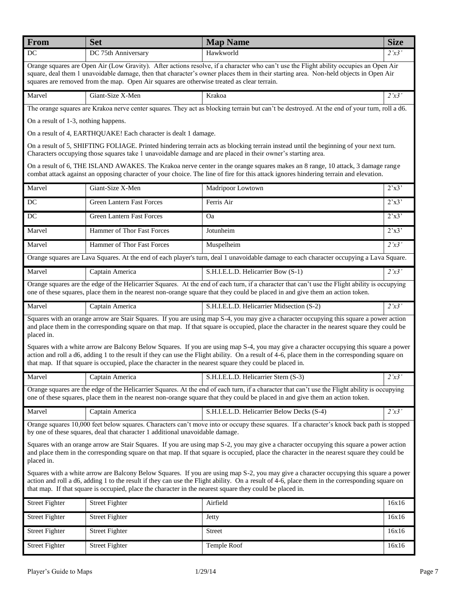| From                                                                                                                                                                                                                                                                                                 | <b>Set</b>                                                                                               | <b>Map Name</b>                                                                                                                                                                                                                                                                          | <b>Size</b>             |
|------------------------------------------------------------------------------------------------------------------------------------------------------------------------------------------------------------------------------------------------------------------------------------------------------|----------------------------------------------------------------------------------------------------------|------------------------------------------------------------------------------------------------------------------------------------------------------------------------------------------------------------------------------------------------------------------------------------------|-------------------------|
| DC                                                                                                                                                                                                                                                                                                   | DC 75th Anniversary                                                                                      | Hawkworld                                                                                                                                                                                                                                                                                | 2'x3'                   |
|                                                                                                                                                                                                                                                                                                      | squares are removed from the map. Open Air squares are otherwise treated as clear terrain.               | Orange squares are Open Air (Low Gravity). After actions resolve, if a character who can't use the Flight ability occupies an Open Air<br>square, deal them 1 unavoidable damage, then that character's owner places them in their starting area. Non-held objects in Open Air           |                         |
| Marvel                                                                                                                                                                                                                                                                                               | Giant-Size X-Men                                                                                         | Krakoa                                                                                                                                                                                                                                                                                   | 2'x3'                   |
|                                                                                                                                                                                                                                                                                                      |                                                                                                          | The orange squares are Krakoa nerve center squares. They act as blocking terrain but can't be destroyed. At the end of your turn, roll a d6.                                                                                                                                             |                         |
| On a result of 1-3, nothing happens.                                                                                                                                                                                                                                                                 |                                                                                                          |                                                                                                                                                                                                                                                                                          |                         |
|                                                                                                                                                                                                                                                                                                      | On a result of 4, EARTHQUAKE! Each character is dealt 1 damage.                                          |                                                                                                                                                                                                                                                                                          |                         |
|                                                                                                                                                                                                                                                                                                      |                                                                                                          | On a result of 5, SHIFTING FOLIAGE. Printed hindering terrain acts as blocking terrain instead until the beginning of your next turn.<br>Characters occupying those squares take 1 unavoidable damage and are placed in their owner's starting area.                                     |                         |
|                                                                                                                                                                                                                                                                                                      |                                                                                                          | On a result of 6, THE ISLAND AWAKES. The Krakoa nerve center in the orange squares makes an 8 range, 10 attack, 3 damage range<br>combat attack against an opposing character of your choice. The line of fire for this attack ignores hindering terrain and elevation.                  |                         |
| Marvel                                                                                                                                                                                                                                                                                               | Giant-Size X-Men                                                                                         | Madripoor Lowtown                                                                                                                                                                                                                                                                        | $2^{\prime}x3^{\prime}$ |
| DC                                                                                                                                                                                                                                                                                                   | <b>Green Lantern Fast Forces</b>                                                                         | Ferris Air                                                                                                                                                                                                                                                                               | $2^{\prime}x3^{\prime}$ |
| DC                                                                                                                                                                                                                                                                                                   | <b>Green Lantern Fast Forces</b>                                                                         | <b>Oa</b>                                                                                                                                                                                                                                                                                | $2^{\prime}x3^{\prime}$ |
| Marvel                                                                                                                                                                                                                                                                                               | Hammer of Thor Fast Forces                                                                               | Jotunheim                                                                                                                                                                                                                                                                                | $2^{\prime}x3^{\prime}$ |
| Marvel                                                                                                                                                                                                                                                                                               | Hammer of Thor Fast Forces                                                                               | Muspelheim                                                                                                                                                                                                                                                                               | 2'x3'                   |
|                                                                                                                                                                                                                                                                                                      |                                                                                                          | Orange squares are Lava Squares. At the end of each player's turn, deal 1 unavoidable damage to each character occupying a Lava Square.                                                                                                                                                  |                         |
| Marvel                                                                                                                                                                                                                                                                                               | Captain America                                                                                          | S.H.I.E.L.D. Helicarrier Bow (S-1)                                                                                                                                                                                                                                                       | $\overline{2'x3'}$      |
|                                                                                                                                                                                                                                                                                                      |                                                                                                          | Orange squares are the edge of the Helicarrier Squares. At the end of each turn, if a character that can't use the Flight ability is occupying<br>one of these squares, place them in the nearest non-orange square that they could be placed in and give them an action token.          |                         |
| Marvel                                                                                                                                                                                                                                                                                               | Captain America                                                                                          | S.H.I.E.L.D. Helicarrier Midsection (S-2)                                                                                                                                                                                                                                                | 2'x3'                   |
| placed in.                                                                                                                                                                                                                                                                                           |                                                                                                          | Squares with an orange arrow are Stair Squares. If you are using map S-4, you may give a character occupying this square a power action<br>and place them in the corresponding square on that map. If that square is occupied, place the character in the nearest square they could be   |                         |
|                                                                                                                                                                                                                                                                                                      | that map. If that square is occupied, place the character in the nearest square they could be placed in. | Squares with a white arrow are Balcony Below Squares. If you are using map S-4, you may give a character occupying this square a power<br>action and roll a d6, adding 1 to the result if they can use the Flight ability. On a result of 4-6, place them in the corresponding square on |                         |
| Marvel                                                                                                                                                                                                                                                                                               | Captain America                                                                                          | S.H.I.E.L.D. Helicarrier Stern (S-3)                                                                                                                                                                                                                                                     | 2'x3'                   |
|                                                                                                                                                                                                                                                                                                      |                                                                                                          | Orange squares are the edge of the Helicarrier Squares. At the end of each turn, if a character that can't use the Flight ability is occupying<br>one of these squares, place them in the nearest non-orange square that they could be placed in and give them an action token.          |                         |
| Marvel                                                                                                                                                                                                                                                                                               | Captain America                                                                                          | S.H.I.E.L.D. Helicarrier Below Decks (S-4)                                                                                                                                                                                                                                               | 2'x3'                   |
|                                                                                                                                                                                                                                                                                                      | by one of these squares, deal that character 1 additional unavoidable damage.                            | Orange squares 10,000 feet below squares. Characters can't move into or occupy these squares. If a character's knock back path is stopped                                                                                                                                                |                         |
| Squares with an orange arrow are Stair Squares. If you are using map S-2, you may give a character occupying this square a power action<br>and place them in the corresponding square on that map. If that square is occupied, place the character in the nearest square they could be<br>placed in. |                                                                                                          |                                                                                                                                                                                                                                                                                          |                         |
|                                                                                                                                                                                                                                                                                                      | that map. If that square is occupied, place the character in the nearest square they could be placed in. | Squares with a white arrow are Balcony Below Squares. If you are using map S-2, you may give a character occupying this square a power<br>action and roll a d6, adding 1 to the result if they can use the Flight ability. On a result of 4-6, place them in the corresponding square on |                         |
| <b>Street Fighter</b>                                                                                                                                                                                                                                                                                | <b>Street Fighter</b>                                                                                    | Airfield                                                                                                                                                                                                                                                                                 | 16x16                   |
| <b>Street Fighter</b>                                                                                                                                                                                                                                                                                | <b>Street Fighter</b>                                                                                    | Jetty                                                                                                                                                                                                                                                                                    | 16x16                   |
| <b>Street Fighter</b>                                                                                                                                                                                                                                                                                | <b>Street Fighter</b>                                                                                    | Street                                                                                                                                                                                                                                                                                   | 16x16                   |
| <b>Street Fighter</b>                                                                                                                                                                                                                                                                                | <b>Street Fighter</b>                                                                                    | Temple Roof                                                                                                                                                                                                                                                                              | 16x16                   |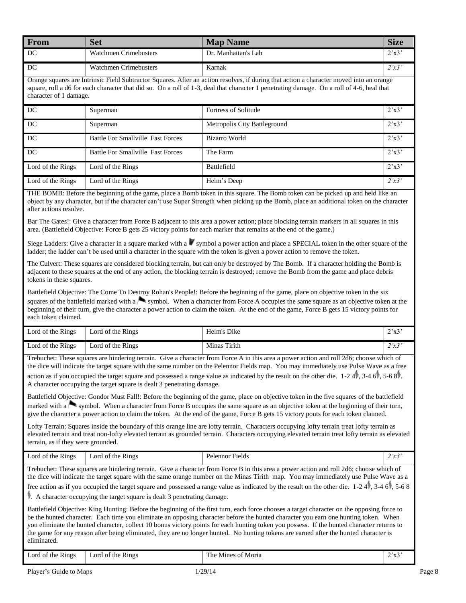| From                                               | <b>Set</b>            | <b>Map Name</b>     | <b>Size</b>      |
|----------------------------------------------------|-----------------------|---------------------|------------------|
| DC                                                 | Watchmen Crimebusters | Dr. Manhattan's Lab | $2^x \times 3$   |
| DC                                                 | Watchmen Crimebusters | Karnak              | $2^x \times 3^x$ |
| $\alpha$ , and the final and $\alpha$ and $\alpha$ |                       |                     |                  |

Orange squares are Intrinsic Field Subtractor Squares. After an action resolves, if during that action a character moved into an orange square, roll a d6 for each character that did so. On a roll of 1-3, deal that character 1 penetrating damage. On a roll of 4-6, heal that character of 1 damage.

| DC                | Superman                                 | <b>Fortress of Solitude</b>  | $2^{\prime}x3^{\prime}$ |
|-------------------|------------------------------------------|------------------------------|-------------------------|
| DC                | Superman                                 | Metropolis City Battleground | 2'x3'                   |
| DC                | <b>Battle For Smallville Fast Forces</b> | Bizarro World                | 2'x3'                   |
| DC                | <b>Battle For Smallville Fast Forces</b> | The Farm                     | $2^{\prime}x3^{\prime}$ |
| Lord of the Rings | Lord of the Rings                        | Battlefield                  | $2^{\prime}x3^{\prime}$ |
| Lord of the Rings | Lord of the Rings                        | Helm's Deep                  | 2'x3'                   |

THE BOMB: Before the beginning of the game, place a Bomb token in this square. The Bomb token can be picked up and held like an object by any character, but if the character can't use Super Strength when picking up the Bomb, place an additional token on the character after actions resolve.

Bar The Gates!: Give a character from Force B adjacent to this area a power action; place blocking terrain markers in all squares in this area. (Battlefield Objective: Force B gets 25 victory points for each marker that remains at the end of the game.)

Siege Ladders: Give a character in a square marked with a symbol a power action and place a SPECIAL token in the other square of the ladder; the ladder can't be used until a character in the square with the token is given a power action to remove the token.

The Culvert: These squares are considered blocking terrain, but can only be destroyed by The Bomb. If a character holding the Bomb is adjacent to these squares at the end of any action, the blocking terrain is destroyed; remove the Bomb from the game and place debris tokens in these squares.

Battlefield Objective: The Come To Destroy Rohan's People!: Before the beginning of the game, place on objective token in the six squares of the battlefield marked with a symbol. When a character from Force A occupies the same square as an objective token at the beginning of their turn, give the character a power action to claim the token. At the end of the game, Force B gets 15 victory points for each token claimed.

| Lord of the Rings | Lord of the Rings | Helm's Dike  | 2 <sub>1</sub> |
|-------------------|-------------------|--------------|----------------|
| Lord of the Rings | Lord of the Rings | Minas Tirith | 2 <sub>1</sub> |

Trebuchet: These squares are hindering terrain. Give a character from Force A in this area a power action and roll 2d6; choose which of the dice will indicate the target square with the same number on the Pelennor Fields map. You may immediately use Pulse Wave as a free

action as if you occupied the target square and possessed a range value as indicated by the result on the other die. 1-2 4 , 3-4 6 , 5-6 8 . A character occupying the target square is dealt 3 penetrating damage.

Battlefield Objective: Gondor Must Fall!: Before the beginning of the game, place on objective token in the five squares of the battlefield marked with a symbol. When a character from Force B occupies the same square as an objective token at the beginning of their turn, give the character a power action to claim the token. At the end of the game, Force B gets 15 victory ponts for each token claimed.

Lofty Terrain: Squares inside the boundary of this orange line are lofty terrain. Characters occupying lofty terrain treat lofty terrain as elevated terrain and treat non-lofty elevated terrain as grounded terrain. Characters occupying elevated terrain treat lofty terrain as elevated terrain, as if they were grounded.

Lord of the Rings Lord of the Rings Pelennor Fields 2'x3

| Trebuchet: These squares are hindering terrain. Give a character from Force B in this area a power action and roll 2d6; choose which of            |
|----------------------------------------------------------------------------------------------------------------------------------------------------|
| the dice will indicate the target square with the same orange number on the Minas Tirith map. You may immediately use Pulse Wave as a              |
| free action as if you occupied the target square and possessed a range value as indicated by the result on the other die. $1-24$ , $3-46$ , $5-68$ |

. A character occupying the target square is dealt 3 penetrating damage.

Battlefield Objective: King Hunting: Before the beginning of the first turn, each force chooses a target character on the opposing force to be the hunted character. Each time you eliminate an opposing character before the hunted character you earn one hunting token. When you eliminate the hunted character, collect 10 bonus victory points for each hunting token you possess. If the hunted character returns to the game for any reason after being eliminated, they are no longer hunted. No hunting tokens are earned after the hunted character is eliminated.

| $\sim$<br>Lorc<br>the<br><b>Rings</b><br>ΟĪ | <b>Rings</b><br>the "<br>. ord<br>. OT | The.<br>Moria<br><b>Mines</b><br>-01 | .<br>ل دے ک<br>$\sim$ |
|---------------------------------------------|----------------------------------------|--------------------------------------|-----------------------|
|                                             |                                        |                                      |                       |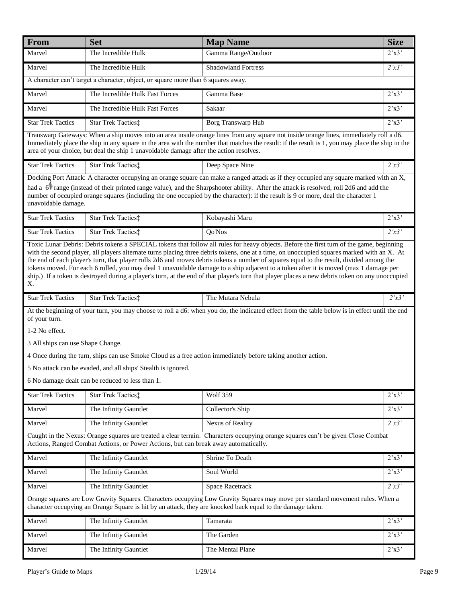| Marvel<br>The Incredible Hulk<br>Gamma Range/Outdoor<br>$2^{\prime}x3^{\prime}$<br>The Incredible Hulk<br><b>Shadowland Fortress</b><br>2'x3'<br>Marvel<br>A character can't target a character, object, or square more than 6 squares away.<br>The Incredible Hulk Fast Forces<br>2'x3'<br>Marvel<br>Gamma Base<br>Marvel<br>The Incredible Hulk Fast Forces<br>2'x3'<br>Sakaar<br>2'x3'<br><b>Star Trek Tactics</b><br>Star Trek Tactics:<br>Borg Transwarp Hub<br>Transwarp Gateways: When a ship moves into an area inside orange lines from any square not inside orange lines, immediately roll a d6.<br>Immediately place the ship in any square in the area with the number that matches the result: if the result is 1, you may place the ship in the<br>area of your choice, but deal the ship 1 unavoidable damage after the action resolves.<br><b>Star Trek Tactics</b><br>2'x3'<br>Star Trek Tactics:<br>Deep Space Nine<br>Docking Port Attack: A character occupying an orange square can make a ranged attack as if they occupied any square marked with an X,<br>had a 61 range (instead of their printed range value), and the Sharpshooter ability. After the attack is resolved, roll 2d6 and add the<br>number of occupied orange squares (including the one occupied by the character): if the result is 9 or more, deal the character 1<br>unavoidable damage.<br><b>Star Trek Tactics</b><br>Kobayashi Maru<br>Star Trek Tactics:<br>$2^{\prime}x3^{\prime}$<br>2'x3'<br><b>Star Trek Tactics</b><br>Star Trek Tactics‡<br>Qo'Nos<br>Toxic Lunar Debris: Debris tokens a SPECIAL tokens that follow all rules for heavy objects. Before the first turn of the game, beginning<br>with the second player, all players alternate turns placing three debris tokens, one at a time, on unoccupied squares marked with an X. At<br>the end of each player's turn, that player rolls 2d6 and moves debris tokens a number of squares equal to the result, divided among the<br>tokens moved. For each 6 rolled, you may deal 1 unavoidable damage to a ship adjacent to a token after it is moved (max 1 damage per<br>ship.) If a token is destroyed during a player's turn, at the end of that player's turn that player places a new debris token on any unoccupied<br>Х.<br><b>Star Trek Tactics</b><br>Star Trek Tactics:<br>The Mutara Nebula<br>2'x3'<br>At the beginning of your turn, you may choose to roll a d6: when you do, the indicated effect from the table below is in effect until the end<br>of your turn.<br>1-2 No effect.<br>3 All ships can use Shape Change.<br>4 Once during the turn, ships can use Smoke Cloud as a free action immediately before taking another action.<br>5 No attack can be evaded, and all ships' Stealth is ignored.<br>6 No damage dealt can be reduced to less than 1.<br><b>Wolf 359</b><br>2'x3'<br><b>Star Trek Tactics</b><br>Star Trek Tactics:<br>2'x3'<br>Marvel<br>The Infinity Gauntlet<br>Collector's Ship<br>Marvel<br>Nexus of Reality<br>2'x3'<br>The Infinity Gauntlet<br>Caught in the Nexus: Orange squares are treated a clear terrain. Characters occupying orange squares can't be given Close Combat<br>Actions, Ranged Combat Actions, or Power Actions, but can break away automatically.<br>$\overline{2}$ 'x3'<br>Shrine To Death<br>Marvel<br>The Infinity Gauntlet<br>2'x3'<br>Marvel<br>The Infinity Gauntlet<br>Soul World<br>Marvel<br>2'x3'<br>The Infinity Gauntlet<br>Space Racetrack<br>Orange squares are Low Gravity Squares. Characters occupying Low Gravity Squares may move per standard movement rules. When a<br>character occupying an Orange Square is hit by an attack, they are knocked back equal to the damage taken.<br>2'x3'<br>Marvel<br>The Infinity Gauntlet<br>Tamarata<br>$2^{\prime}x3^{\prime}$<br>Marvel<br>The Infinity Gauntlet<br>The Garden<br>Marvel<br>The Infinity Gauntlet<br>The Mental Plane<br>$2^{\prime}x3^{\prime}$ | From | <b>Set</b> | <b>Map Name</b> | <b>Size</b> |  |
|--------------------------------------------------------------------------------------------------------------------------------------------------------------------------------------------------------------------------------------------------------------------------------------------------------------------------------------------------------------------------------------------------------------------------------------------------------------------------------------------------------------------------------------------------------------------------------------------------------------------------------------------------------------------------------------------------------------------------------------------------------------------------------------------------------------------------------------------------------------------------------------------------------------------------------------------------------------------------------------------------------------------------------------------------------------------------------------------------------------------------------------------------------------------------------------------------------------------------------------------------------------------------------------------------------------------------------------------------------------------------------------------------------------------------------------------------------------------------------------------------------------------------------------------------------------------------------------------------------------------------------------------------------------------------------------------------------------------------------------------------------------------------------------------------------------------------------------------------------------------------------------------------------------------------------------------------------------------------------------------------------------------------------------------------------------------------------------------------------------------------------------------------------------------------------------------------------------------------------------------------------------------------------------------------------------------------------------------------------------------------------------------------------------------------------------------------------------------------------------------------------------------------------------------------------------------------------------------------------------------------------------------------------------------------------------------------------------------------------------------------------------------------------------------------------------------------------------------------------------------------------------------------------------------------------------------------------------------------------------------------------------------------------------------------------------------------------------------------------------------------------------------------------------------------------------------------------------------------------------------------------------------------------------------------------------------------------------------------------------------------------------------------------------------------------------------------------------------------------------------------------------------------------------------------------------------------------------------------------------------------------------------------------------------------------------------------------------------------------------------------------------------------------------------------------------------------------------------------------------------------------------------------------------------------------------------------------------------|------|------------|-----------------|-------------|--|
|                                                                                                                                                                                                                                                                                                                                                                                                                                                                                                                                                                                                                                                                                                                                                                                                                                                                                                                                                                                                                                                                                                                                                                                                                                                                                                                                                                                                                                                                                                                                                                                                                                                                                                                                                                                                                                                                                                                                                                                                                                                                                                                                                                                                                                                                                                                                                                                                                                                                                                                                                                                                                                                                                                                                                                                                                                                                                                                                                                                                                                                                                                                                                                                                                                                                                                                                                                                                                                                                                                                                                                                                                                                                                                                                                                                                                                                                                                                                                                    |      |            |                 |             |  |
|                                                                                                                                                                                                                                                                                                                                                                                                                                                                                                                                                                                                                                                                                                                                                                                                                                                                                                                                                                                                                                                                                                                                                                                                                                                                                                                                                                                                                                                                                                                                                                                                                                                                                                                                                                                                                                                                                                                                                                                                                                                                                                                                                                                                                                                                                                                                                                                                                                                                                                                                                                                                                                                                                                                                                                                                                                                                                                                                                                                                                                                                                                                                                                                                                                                                                                                                                                                                                                                                                                                                                                                                                                                                                                                                                                                                                                                                                                                                                                    |      |            |                 |             |  |
|                                                                                                                                                                                                                                                                                                                                                                                                                                                                                                                                                                                                                                                                                                                                                                                                                                                                                                                                                                                                                                                                                                                                                                                                                                                                                                                                                                                                                                                                                                                                                                                                                                                                                                                                                                                                                                                                                                                                                                                                                                                                                                                                                                                                                                                                                                                                                                                                                                                                                                                                                                                                                                                                                                                                                                                                                                                                                                                                                                                                                                                                                                                                                                                                                                                                                                                                                                                                                                                                                                                                                                                                                                                                                                                                                                                                                                                                                                                                                                    |      |            |                 |             |  |
|                                                                                                                                                                                                                                                                                                                                                                                                                                                                                                                                                                                                                                                                                                                                                                                                                                                                                                                                                                                                                                                                                                                                                                                                                                                                                                                                                                                                                                                                                                                                                                                                                                                                                                                                                                                                                                                                                                                                                                                                                                                                                                                                                                                                                                                                                                                                                                                                                                                                                                                                                                                                                                                                                                                                                                                                                                                                                                                                                                                                                                                                                                                                                                                                                                                                                                                                                                                                                                                                                                                                                                                                                                                                                                                                                                                                                                                                                                                                                                    |      |            |                 |             |  |
|                                                                                                                                                                                                                                                                                                                                                                                                                                                                                                                                                                                                                                                                                                                                                                                                                                                                                                                                                                                                                                                                                                                                                                                                                                                                                                                                                                                                                                                                                                                                                                                                                                                                                                                                                                                                                                                                                                                                                                                                                                                                                                                                                                                                                                                                                                                                                                                                                                                                                                                                                                                                                                                                                                                                                                                                                                                                                                                                                                                                                                                                                                                                                                                                                                                                                                                                                                                                                                                                                                                                                                                                                                                                                                                                                                                                                                                                                                                                                                    |      |            |                 |             |  |
|                                                                                                                                                                                                                                                                                                                                                                                                                                                                                                                                                                                                                                                                                                                                                                                                                                                                                                                                                                                                                                                                                                                                                                                                                                                                                                                                                                                                                                                                                                                                                                                                                                                                                                                                                                                                                                                                                                                                                                                                                                                                                                                                                                                                                                                                                                                                                                                                                                                                                                                                                                                                                                                                                                                                                                                                                                                                                                                                                                                                                                                                                                                                                                                                                                                                                                                                                                                                                                                                                                                                                                                                                                                                                                                                                                                                                                                                                                                                                                    |      |            |                 |             |  |
|                                                                                                                                                                                                                                                                                                                                                                                                                                                                                                                                                                                                                                                                                                                                                                                                                                                                                                                                                                                                                                                                                                                                                                                                                                                                                                                                                                                                                                                                                                                                                                                                                                                                                                                                                                                                                                                                                                                                                                                                                                                                                                                                                                                                                                                                                                                                                                                                                                                                                                                                                                                                                                                                                                                                                                                                                                                                                                                                                                                                                                                                                                                                                                                                                                                                                                                                                                                                                                                                                                                                                                                                                                                                                                                                                                                                                                                                                                                                                                    |      |            |                 |             |  |
|                                                                                                                                                                                                                                                                                                                                                                                                                                                                                                                                                                                                                                                                                                                                                                                                                                                                                                                                                                                                                                                                                                                                                                                                                                                                                                                                                                                                                                                                                                                                                                                                                                                                                                                                                                                                                                                                                                                                                                                                                                                                                                                                                                                                                                                                                                                                                                                                                                                                                                                                                                                                                                                                                                                                                                                                                                                                                                                                                                                                                                                                                                                                                                                                                                                                                                                                                                                                                                                                                                                                                                                                                                                                                                                                                                                                                                                                                                                                                                    |      |            |                 |             |  |
|                                                                                                                                                                                                                                                                                                                                                                                                                                                                                                                                                                                                                                                                                                                                                                                                                                                                                                                                                                                                                                                                                                                                                                                                                                                                                                                                                                                                                                                                                                                                                                                                                                                                                                                                                                                                                                                                                                                                                                                                                                                                                                                                                                                                                                                                                                                                                                                                                                                                                                                                                                                                                                                                                                                                                                                                                                                                                                                                                                                                                                                                                                                                                                                                                                                                                                                                                                                                                                                                                                                                                                                                                                                                                                                                                                                                                                                                                                                                                                    |      |            |                 |             |  |
|                                                                                                                                                                                                                                                                                                                                                                                                                                                                                                                                                                                                                                                                                                                                                                                                                                                                                                                                                                                                                                                                                                                                                                                                                                                                                                                                                                                                                                                                                                                                                                                                                                                                                                                                                                                                                                                                                                                                                                                                                                                                                                                                                                                                                                                                                                                                                                                                                                                                                                                                                                                                                                                                                                                                                                                                                                                                                                                                                                                                                                                                                                                                                                                                                                                                                                                                                                                                                                                                                                                                                                                                                                                                                                                                                                                                                                                                                                                                                                    |      |            |                 |             |  |
|                                                                                                                                                                                                                                                                                                                                                                                                                                                                                                                                                                                                                                                                                                                                                                                                                                                                                                                                                                                                                                                                                                                                                                                                                                                                                                                                                                                                                                                                                                                                                                                                                                                                                                                                                                                                                                                                                                                                                                                                                                                                                                                                                                                                                                                                                                                                                                                                                                                                                                                                                                                                                                                                                                                                                                                                                                                                                                                                                                                                                                                                                                                                                                                                                                                                                                                                                                                                                                                                                                                                                                                                                                                                                                                                                                                                                                                                                                                                                                    |      |            |                 |             |  |
|                                                                                                                                                                                                                                                                                                                                                                                                                                                                                                                                                                                                                                                                                                                                                                                                                                                                                                                                                                                                                                                                                                                                                                                                                                                                                                                                                                                                                                                                                                                                                                                                                                                                                                                                                                                                                                                                                                                                                                                                                                                                                                                                                                                                                                                                                                                                                                                                                                                                                                                                                                                                                                                                                                                                                                                                                                                                                                                                                                                                                                                                                                                                                                                                                                                                                                                                                                                                                                                                                                                                                                                                                                                                                                                                                                                                                                                                                                                                                                    |      |            |                 |             |  |
|                                                                                                                                                                                                                                                                                                                                                                                                                                                                                                                                                                                                                                                                                                                                                                                                                                                                                                                                                                                                                                                                                                                                                                                                                                                                                                                                                                                                                                                                                                                                                                                                                                                                                                                                                                                                                                                                                                                                                                                                                                                                                                                                                                                                                                                                                                                                                                                                                                                                                                                                                                                                                                                                                                                                                                                                                                                                                                                                                                                                                                                                                                                                                                                                                                                                                                                                                                                                                                                                                                                                                                                                                                                                                                                                                                                                                                                                                                                                                                    |      |            |                 |             |  |
|                                                                                                                                                                                                                                                                                                                                                                                                                                                                                                                                                                                                                                                                                                                                                                                                                                                                                                                                                                                                                                                                                                                                                                                                                                                                                                                                                                                                                                                                                                                                                                                                                                                                                                                                                                                                                                                                                                                                                                                                                                                                                                                                                                                                                                                                                                                                                                                                                                                                                                                                                                                                                                                                                                                                                                                                                                                                                                                                                                                                                                                                                                                                                                                                                                                                                                                                                                                                                                                                                                                                                                                                                                                                                                                                                                                                                                                                                                                                                                    |      |            |                 |             |  |
|                                                                                                                                                                                                                                                                                                                                                                                                                                                                                                                                                                                                                                                                                                                                                                                                                                                                                                                                                                                                                                                                                                                                                                                                                                                                                                                                                                                                                                                                                                                                                                                                                                                                                                                                                                                                                                                                                                                                                                                                                                                                                                                                                                                                                                                                                                                                                                                                                                                                                                                                                                                                                                                                                                                                                                                                                                                                                                                                                                                                                                                                                                                                                                                                                                                                                                                                                                                                                                                                                                                                                                                                                                                                                                                                                                                                                                                                                                                                                                    |      |            |                 |             |  |
|                                                                                                                                                                                                                                                                                                                                                                                                                                                                                                                                                                                                                                                                                                                                                                                                                                                                                                                                                                                                                                                                                                                                                                                                                                                                                                                                                                                                                                                                                                                                                                                                                                                                                                                                                                                                                                                                                                                                                                                                                                                                                                                                                                                                                                                                                                                                                                                                                                                                                                                                                                                                                                                                                                                                                                                                                                                                                                                                                                                                                                                                                                                                                                                                                                                                                                                                                                                                                                                                                                                                                                                                                                                                                                                                                                                                                                                                                                                                                                    |      |            |                 |             |  |
|                                                                                                                                                                                                                                                                                                                                                                                                                                                                                                                                                                                                                                                                                                                                                                                                                                                                                                                                                                                                                                                                                                                                                                                                                                                                                                                                                                                                                                                                                                                                                                                                                                                                                                                                                                                                                                                                                                                                                                                                                                                                                                                                                                                                                                                                                                                                                                                                                                                                                                                                                                                                                                                                                                                                                                                                                                                                                                                                                                                                                                                                                                                                                                                                                                                                                                                                                                                                                                                                                                                                                                                                                                                                                                                                                                                                                                                                                                                                                                    |      |            |                 |             |  |
|                                                                                                                                                                                                                                                                                                                                                                                                                                                                                                                                                                                                                                                                                                                                                                                                                                                                                                                                                                                                                                                                                                                                                                                                                                                                                                                                                                                                                                                                                                                                                                                                                                                                                                                                                                                                                                                                                                                                                                                                                                                                                                                                                                                                                                                                                                                                                                                                                                                                                                                                                                                                                                                                                                                                                                                                                                                                                                                                                                                                                                                                                                                                                                                                                                                                                                                                                                                                                                                                                                                                                                                                                                                                                                                                                                                                                                                                                                                                                                    |      |            |                 |             |  |
|                                                                                                                                                                                                                                                                                                                                                                                                                                                                                                                                                                                                                                                                                                                                                                                                                                                                                                                                                                                                                                                                                                                                                                                                                                                                                                                                                                                                                                                                                                                                                                                                                                                                                                                                                                                                                                                                                                                                                                                                                                                                                                                                                                                                                                                                                                                                                                                                                                                                                                                                                                                                                                                                                                                                                                                                                                                                                                                                                                                                                                                                                                                                                                                                                                                                                                                                                                                                                                                                                                                                                                                                                                                                                                                                                                                                                                                                                                                                                                    |      |            |                 |             |  |
|                                                                                                                                                                                                                                                                                                                                                                                                                                                                                                                                                                                                                                                                                                                                                                                                                                                                                                                                                                                                                                                                                                                                                                                                                                                                                                                                                                                                                                                                                                                                                                                                                                                                                                                                                                                                                                                                                                                                                                                                                                                                                                                                                                                                                                                                                                                                                                                                                                                                                                                                                                                                                                                                                                                                                                                                                                                                                                                                                                                                                                                                                                                                                                                                                                                                                                                                                                                                                                                                                                                                                                                                                                                                                                                                                                                                                                                                                                                                                                    |      |            |                 |             |  |
|                                                                                                                                                                                                                                                                                                                                                                                                                                                                                                                                                                                                                                                                                                                                                                                                                                                                                                                                                                                                                                                                                                                                                                                                                                                                                                                                                                                                                                                                                                                                                                                                                                                                                                                                                                                                                                                                                                                                                                                                                                                                                                                                                                                                                                                                                                                                                                                                                                                                                                                                                                                                                                                                                                                                                                                                                                                                                                                                                                                                                                                                                                                                                                                                                                                                                                                                                                                                                                                                                                                                                                                                                                                                                                                                                                                                                                                                                                                                                                    |      |            |                 |             |  |
|                                                                                                                                                                                                                                                                                                                                                                                                                                                                                                                                                                                                                                                                                                                                                                                                                                                                                                                                                                                                                                                                                                                                                                                                                                                                                                                                                                                                                                                                                                                                                                                                                                                                                                                                                                                                                                                                                                                                                                                                                                                                                                                                                                                                                                                                                                                                                                                                                                                                                                                                                                                                                                                                                                                                                                                                                                                                                                                                                                                                                                                                                                                                                                                                                                                                                                                                                                                                                                                                                                                                                                                                                                                                                                                                                                                                                                                                                                                                                                    |      |            |                 |             |  |
|                                                                                                                                                                                                                                                                                                                                                                                                                                                                                                                                                                                                                                                                                                                                                                                                                                                                                                                                                                                                                                                                                                                                                                                                                                                                                                                                                                                                                                                                                                                                                                                                                                                                                                                                                                                                                                                                                                                                                                                                                                                                                                                                                                                                                                                                                                                                                                                                                                                                                                                                                                                                                                                                                                                                                                                                                                                                                                                                                                                                                                                                                                                                                                                                                                                                                                                                                                                                                                                                                                                                                                                                                                                                                                                                                                                                                                                                                                                                                                    |      |            |                 |             |  |
|                                                                                                                                                                                                                                                                                                                                                                                                                                                                                                                                                                                                                                                                                                                                                                                                                                                                                                                                                                                                                                                                                                                                                                                                                                                                                                                                                                                                                                                                                                                                                                                                                                                                                                                                                                                                                                                                                                                                                                                                                                                                                                                                                                                                                                                                                                                                                                                                                                                                                                                                                                                                                                                                                                                                                                                                                                                                                                                                                                                                                                                                                                                                                                                                                                                                                                                                                                                                                                                                                                                                                                                                                                                                                                                                                                                                                                                                                                                                                                    |      |            |                 |             |  |
|                                                                                                                                                                                                                                                                                                                                                                                                                                                                                                                                                                                                                                                                                                                                                                                                                                                                                                                                                                                                                                                                                                                                                                                                                                                                                                                                                                                                                                                                                                                                                                                                                                                                                                                                                                                                                                                                                                                                                                                                                                                                                                                                                                                                                                                                                                                                                                                                                                                                                                                                                                                                                                                                                                                                                                                                                                                                                                                                                                                                                                                                                                                                                                                                                                                                                                                                                                                                                                                                                                                                                                                                                                                                                                                                                                                                                                                                                                                                                                    |      |            |                 |             |  |
|                                                                                                                                                                                                                                                                                                                                                                                                                                                                                                                                                                                                                                                                                                                                                                                                                                                                                                                                                                                                                                                                                                                                                                                                                                                                                                                                                                                                                                                                                                                                                                                                                                                                                                                                                                                                                                                                                                                                                                                                                                                                                                                                                                                                                                                                                                                                                                                                                                                                                                                                                                                                                                                                                                                                                                                                                                                                                                                                                                                                                                                                                                                                                                                                                                                                                                                                                                                                                                                                                                                                                                                                                                                                                                                                                                                                                                                                                                                                                                    |      |            |                 |             |  |
|                                                                                                                                                                                                                                                                                                                                                                                                                                                                                                                                                                                                                                                                                                                                                                                                                                                                                                                                                                                                                                                                                                                                                                                                                                                                                                                                                                                                                                                                                                                                                                                                                                                                                                                                                                                                                                                                                                                                                                                                                                                                                                                                                                                                                                                                                                                                                                                                                                                                                                                                                                                                                                                                                                                                                                                                                                                                                                                                                                                                                                                                                                                                                                                                                                                                                                                                                                                                                                                                                                                                                                                                                                                                                                                                                                                                                                                                                                                                                                    |      |            |                 |             |  |
|                                                                                                                                                                                                                                                                                                                                                                                                                                                                                                                                                                                                                                                                                                                                                                                                                                                                                                                                                                                                                                                                                                                                                                                                                                                                                                                                                                                                                                                                                                                                                                                                                                                                                                                                                                                                                                                                                                                                                                                                                                                                                                                                                                                                                                                                                                                                                                                                                                                                                                                                                                                                                                                                                                                                                                                                                                                                                                                                                                                                                                                                                                                                                                                                                                                                                                                                                                                                                                                                                                                                                                                                                                                                                                                                                                                                                                                                                                                                                                    |      |            |                 |             |  |
|                                                                                                                                                                                                                                                                                                                                                                                                                                                                                                                                                                                                                                                                                                                                                                                                                                                                                                                                                                                                                                                                                                                                                                                                                                                                                                                                                                                                                                                                                                                                                                                                                                                                                                                                                                                                                                                                                                                                                                                                                                                                                                                                                                                                                                                                                                                                                                                                                                                                                                                                                                                                                                                                                                                                                                                                                                                                                                                                                                                                                                                                                                                                                                                                                                                                                                                                                                                                                                                                                                                                                                                                                                                                                                                                                                                                                                                                                                                                                                    |      |            |                 |             |  |
|                                                                                                                                                                                                                                                                                                                                                                                                                                                                                                                                                                                                                                                                                                                                                                                                                                                                                                                                                                                                                                                                                                                                                                                                                                                                                                                                                                                                                                                                                                                                                                                                                                                                                                                                                                                                                                                                                                                                                                                                                                                                                                                                                                                                                                                                                                                                                                                                                                                                                                                                                                                                                                                                                                                                                                                                                                                                                                                                                                                                                                                                                                                                                                                                                                                                                                                                                                                                                                                                                                                                                                                                                                                                                                                                                                                                                                                                                                                                                                    |      |            |                 |             |  |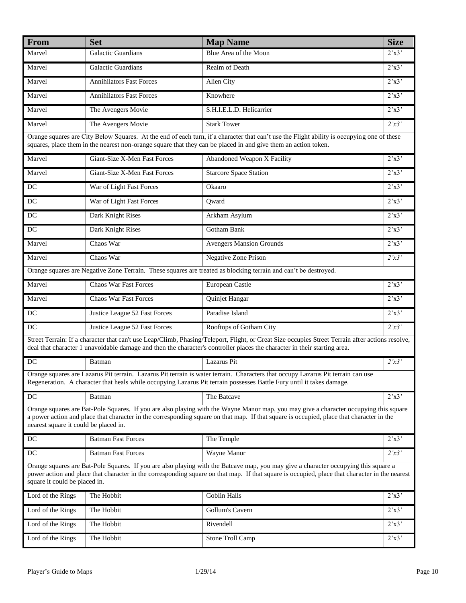| From                                                                                                                                                                                                                                                                                                                       | <b>Set</b>                      | <b>Map Name</b>                                                                                                                                                                                                                                                               | <b>Size</b>             |  |
|----------------------------------------------------------------------------------------------------------------------------------------------------------------------------------------------------------------------------------------------------------------------------------------------------------------------------|---------------------------------|-------------------------------------------------------------------------------------------------------------------------------------------------------------------------------------------------------------------------------------------------------------------------------|-------------------------|--|
| Marvel                                                                                                                                                                                                                                                                                                                     | Galactic Guardians              | Blue Area of the Moon                                                                                                                                                                                                                                                         | $2^{\prime}x3^{\prime}$ |  |
| Marvel                                                                                                                                                                                                                                                                                                                     | <b>Galactic Guardians</b>       | Realm of Death                                                                                                                                                                                                                                                                | 2'x3'                   |  |
| Marvel                                                                                                                                                                                                                                                                                                                     | <b>Annihilators Fast Forces</b> | Alien City                                                                                                                                                                                                                                                                    | 2'x3'                   |  |
| Marvel                                                                                                                                                                                                                                                                                                                     | <b>Annihilators Fast Forces</b> | Knowhere                                                                                                                                                                                                                                                                      | 2'x3'                   |  |
| Marvel                                                                                                                                                                                                                                                                                                                     | The Avengers Movie              | S.H.I.E.L.D. Helicarrier                                                                                                                                                                                                                                                      | 2'x3'                   |  |
| Marvel                                                                                                                                                                                                                                                                                                                     | The Avengers Movie              | <b>Stark Tower</b>                                                                                                                                                                                                                                                            | 2'x3'                   |  |
|                                                                                                                                                                                                                                                                                                                            |                                 | Orange squares are City Below Squares. At the end of each turn, if a character that can't use the Flight ability is occupying one of these<br>squares, place them in the nearest non-orange square that they can be placed in and give them an action token.                  |                         |  |
| Marvel                                                                                                                                                                                                                                                                                                                     | Giant-Size X-Men Fast Forces    | Abandoned Weapon X Facility                                                                                                                                                                                                                                                   | 2'x3'                   |  |
| Marvel                                                                                                                                                                                                                                                                                                                     | Giant-Size X-Men Fast Forces    | <b>Starcore Space Station</b>                                                                                                                                                                                                                                                 | $2^{\prime}x3$          |  |
| DC                                                                                                                                                                                                                                                                                                                         | War of Light Fast Forces        | Okaaro                                                                                                                                                                                                                                                                        | 2'x3'                   |  |
| $DC$                                                                                                                                                                                                                                                                                                                       | War of Light Fast Forces        | Qward                                                                                                                                                                                                                                                                         | 2'x3'                   |  |
| $DC$                                                                                                                                                                                                                                                                                                                       | Dark Knight Rises               | Arkham Asylum                                                                                                                                                                                                                                                                 | 2'x3'                   |  |
| DC                                                                                                                                                                                                                                                                                                                         | Dark Knight Rises               | <b>Gotham Bank</b>                                                                                                                                                                                                                                                            | 2'x3'                   |  |
| Marvel                                                                                                                                                                                                                                                                                                                     | Chaos War                       | <b>Avengers Mansion Grounds</b>                                                                                                                                                                                                                                               | 2'x3'                   |  |
| Marvel                                                                                                                                                                                                                                                                                                                     | Chaos War                       | <b>Negative Zone Prison</b>                                                                                                                                                                                                                                                   | 2'x3'                   |  |
|                                                                                                                                                                                                                                                                                                                            |                                 | Orange squares are Negative Zone Terrain. These squares are treated as blocking terrain and can't be destroyed.                                                                                                                                                               |                         |  |
| Marvel                                                                                                                                                                                                                                                                                                                     | <b>Chaos War Fast Forces</b>    | European Castle                                                                                                                                                                                                                                                               | $2^{\prime}x3^{\prime}$ |  |
| Marvel                                                                                                                                                                                                                                                                                                                     | <b>Chaos War Fast Forces</b>    | Quinjet Hangar                                                                                                                                                                                                                                                                | 2'x3'                   |  |
| DC                                                                                                                                                                                                                                                                                                                         | Justice League 52 Fast Forces   | Paradise Island                                                                                                                                                                                                                                                               | 2'x3'                   |  |
| DC                                                                                                                                                                                                                                                                                                                         | Justice League 52 Fast Forces   | Rooftops of Gotham City                                                                                                                                                                                                                                                       | 2'x3'                   |  |
|                                                                                                                                                                                                                                                                                                                            |                                 | Street Terrain: If a character that can't use Leap/Climb, Phasing/Teleport, Flight, or Great Size occupies Street Terrain after actions resolve,<br>deal that character 1 unavoidable damage and then the character's controller places the character in their starting area. |                         |  |
| $\overline{DC}$                                                                                                                                                                                                                                                                                                            | Batman                          | Lazarus Pit                                                                                                                                                                                                                                                                   | 2'x3'                   |  |
|                                                                                                                                                                                                                                                                                                                            |                                 | Orange squares are Lazarus Pit terrain. Lazarus Pit terrain is water terrain. Characters that occupy Lazarus Pit terrain can use<br>Regeneration. A character that heals while occupying Lazarus Pit terrain possesses Battle Fury until it takes damage.                     |                         |  |
| $DC$                                                                                                                                                                                                                                                                                                                       | Batman                          | The Batcave                                                                                                                                                                                                                                                                   | 2'x3'                   |  |
| Orange squares are Bat-Pole Squares. If you are also playing with the Wayne Manor map, you may give a character occupying this square<br>a power action and place that character in the corresponding square on that map. If that square is occupied, place that character in the<br>nearest square it could be placed in. |                                 |                                                                                                                                                                                                                                                                               |                         |  |
| $D C$                                                                                                                                                                                                                                                                                                                      | <b>Batman Fast Forces</b>       | The Temple                                                                                                                                                                                                                                                                    | 2'x3'                   |  |
| $\overline{DC}$                                                                                                                                                                                                                                                                                                            | <b>Batman Fast Forces</b>       | Wayne Manor                                                                                                                                                                                                                                                                   | 2'x3'                   |  |
| Orange squares are Bat-Pole Squares. If you are also playing with the Batcave map, you may give a character occupying this square a<br>power action and place that character in the corresponding square on that map. If that square is occupied, place that character in the nearest<br>square it could be placed in.     |                                 |                                                                                                                                                                                                                                                                               |                         |  |
| Lord of the Rings                                                                                                                                                                                                                                                                                                          | The Hobbit                      | Goblin Halls                                                                                                                                                                                                                                                                  | 2'x3'                   |  |
| Lord of the Rings                                                                                                                                                                                                                                                                                                          | The Hobbit                      | Gollum's Cavern                                                                                                                                                                                                                                                               | $2^{\prime}x3^{\prime}$ |  |
| Lord of the Rings                                                                                                                                                                                                                                                                                                          | The Hobbit                      | Rivendell                                                                                                                                                                                                                                                                     | $2^{\prime}x3^{\prime}$ |  |
| Lord of the Rings                                                                                                                                                                                                                                                                                                          | The Hobbit                      | Stone Troll Camp                                                                                                                                                                                                                                                              | 2'x3'                   |  |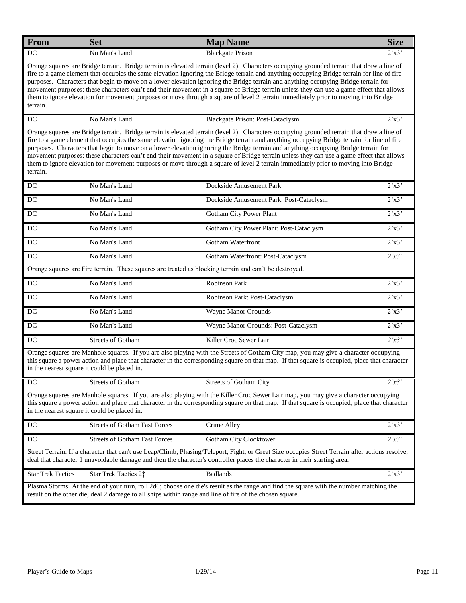| From                                                                                                                                                                                                                                                                                                                                                                                                                                                                                                                                                                                                                                                                                                                         | <b>Set</b>                                                                                             | <b>Map Name</b>                                                                                                                                                                                                                                                                                                                                                                                                                                                                                                                                                                                                                                                                                                  | <b>Size</b>    |  |
|------------------------------------------------------------------------------------------------------------------------------------------------------------------------------------------------------------------------------------------------------------------------------------------------------------------------------------------------------------------------------------------------------------------------------------------------------------------------------------------------------------------------------------------------------------------------------------------------------------------------------------------------------------------------------------------------------------------------------|--------------------------------------------------------------------------------------------------------|------------------------------------------------------------------------------------------------------------------------------------------------------------------------------------------------------------------------------------------------------------------------------------------------------------------------------------------------------------------------------------------------------------------------------------------------------------------------------------------------------------------------------------------------------------------------------------------------------------------------------------------------------------------------------------------------------------------|----------------|--|
| $DC$                                                                                                                                                                                                                                                                                                                                                                                                                                                                                                                                                                                                                                                                                                                         | No Man's Land                                                                                          | <b>Blackgate Prison</b>                                                                                                                                                                                                                                                                                                                                                                                                                                                                                                                                                                                                                                                                                          | 2'x3'          |  |
| Orange squares are Bridge terrain. Bridge terrain is elevated terrain (level 2). Characters occupying grounded terrain that draw a line of<br>fire to a game element that occupies the same elevation ignoring the Bridge terrain and anything occupying Bridge terrain for line of fire<br>purposes. Characters that begin to move on a lower elevation ignoring the Bridge terrain and anything occupying Bridge terrain for<br>movement purposes: these characters can't end their movement in a square of Bridge terrain unless they can use a game effect that allows<br>them to ignore elevation for movement purposes or move through a square of level 2 terrain immediately prior to moving into Bridge<br>terrain. |                                                                                                        |                                                                                                                                                                                                                                                                                                                                                                                                                                                                                                                                                                                                                                                                                                                  |                |  |
| DC                                                                                                                                                                                                                                                                                                                                                                                                                                                                                                                                                                                                                                                                                                                           | No Man's Land                                                                                          | <b>Blackgate Prison: Post-Cataclysm</b>                                                                                                                                                                                                                                                                                                                                                                                                                                                                                                                                                                                                                                                                          | 2'x3'          |  |
| terrain.                                                                                                                                                                                                                                                                                                                                                                                                                                                                                                                                                                                                                                                                                                                     |                                                                                                        | Orange squares are Bridge terrain. Bridge terrain is elevated terrain (level 2). Characters occupying grounded terrain that draw a line of<br>fire to a game element that occupies the same elevation ignoring the Bridge terrain and anything occupying Bridge terrain for line of fire<br>purposes. Characters that begin to move on a lower elevation ignoring the Bridge terrain and anything occupying Bridge terrain for<br>movement purposes: these characters can't end their movement in a square of Bridge terrain unless they can use a game effect that allows<br>them to ignore elevation for movement purposes or move through a square of level 2 terrain immediately prior to moving into Bridge |                |  |
| DC                                                                                                                                                                                                                                                                                                                                                                                                                                                                                                                                                                                                                                                                                                                           | No Man's Land                                                                                          | Dockside Amusement Park                                                                                                                                                                                                                                                                                                                                                                                                                                                                                                                                                                                                                                                                                          | 2'x3'          |  |
| DC                                                                                                                                                                                                                                                                                                                                                                                                                                                                                                                                                                                                                                                                                                                           | No Man's Land                                                                                          | Dockside Amusement Park: Post-Cataclysm                                                                                                                                                                                                                                                                                                                                                                                                                                                                                                                                                                                                                                                                          | 2'x3'          |  |
| DC                                                                                                                                                                                                                                                                                                                                                                                                                                                                                                                                                                                                                                                                                                                           | No Man's Land                                                                                          | <b>Gotham City Power Plant</b>                                                                                                                                                                                                                                                                                                                                                                                                                                                                                                                                                                                                                                                                                   | 2'x3'          |  |
| DC                                                                                                                                                                                                                                                                                                                                                                                                                                                                                                                                                                                                                                                                                                                           | No Man's Land                                                                                          | Gotham City Power Plant: Post-Cataclysm                                                                                                                                                                                                                                                                                                                                                                                                                                                                                                                                                                                                                                                                          | 2'x3'          |  |
| DC                                                                                                                                                                                                                                                                                                                                                                                                                                                                                                                                                                                                                                                                                                                           | No Man's Land                                                                                          | Gotham Waterfront                                                                                                                                                                                                                                                                                                                                                                                                                                                                                                                                                                                                                                                                                                | 2'x3'          |  |
| DC                                                                                                                                                                                                                                                                                                                                                                                                                                                                                                                                                                                                                                                                                                                           | No Man's Land                                                                                          | Gotham Waterfront: Post-Cataclysm                                                                                                                                                                                                                                                                                                                                                                                                                                                                                                                                                                                                                                                                                | 2'x3'          |  |
|                                                                                                                                                                                                                                                                                                                                                                                                                                                                                                                                                                                                                                                                                                                              | Orange squares are Fire terrain. These squares are treated as blocking terrain and can't be destroyed. |                                                                                                                                                                                                                                                                                                                                                                                                                                                                                                                                                                                                                                                                                                                  |                |  |
| DC                                                                                                                                                                                                                                                                                                                                                                                                                                                                                                                                                                                                                                                                                                                           | No Man's Land                                                                                          | Robinson Park                                                                                                                                                                                                                                                                                                                                                                                                                                                                                                                                                                                                                                                                                                    | 2'x3'          |  |
| DC                                                                                                                                                                                                                                                                                                                                                                                                                                                                                                                                                                                                                                                                                                                           | No Man's Land                                                                                          | Robinson Park: Post-Cataclysm                                                                                                                                                                                                                                                                                                                                                                                                                                                                                                                                                                                                                                                                                    | 2'x3'          |  |
| DC                                                                                                                                                                                                                                                                                                                                                                                                                                                                                                                                                                                                                                                                                                                           | No Man's Land                                                                                          | Wayne Manor Grounds                                                                                                                                                                                                                                                                                                                                                                                                                                                                                                                                                                                                                                                                                              | 2'x3'          |  |
| DC                                                                                                                                                                                                                                                                                                                                                                                                                                                                                                                                                                                                                                                                                                                           | No Man's Land                                                                                          | Wayne Manor Grounds: Post-Cataclysm                                                                                                                                                                                                                                                                                                                                                                                                                                                                                                                                                                                                                                                                              | $2^{\prime}x3$ |  |
| $\operatorname{DC}$                                                                                                                                                                                                                                                                                                                                                                                                                                                                                                                                                                                                                                                                                                          | Streets of Gotham                                                                                      | Killer Croc Sewer Lair                                                                                                                                                                                                                                                                                                                                                                                                                                                                                                                                                                                                                                                                                           | 2'x3'          |  |
|                                                                                                                                                                                                                                                                                                                                                                                                                                                                                                                                                                                                                                                                                                                              | in the nearest square it could be placed in.                                                           | Orange squares are Manhole squares. If you are also playing with the Streets of Gotham City map, you may give a character occupying<br>this square a power action and place that character in the corresponding square on that map. If that square is occupied, place that character                                                                                                                                                                                                                                                                                                                                                                                                                             |                |  |
| DC                                                                                                                                                                                                                                                                                                                                                                                                                                                                                                                                                                                                                                                                                                                           | <b>Streets of Gotham</b>                                                                               | Streets of Gotham City                                                                                                                                                                                                                                                                                                                                                                                                                                                                                                                                                                                                                                                                                           | $2^{\prime}x3$ |  |
| Orange squares are Manhole squares. If you are also playing with the Killer Croc Sewer Lair map, you may give a character occupying<br>this square a power action and place that character in the corresponding square on that map. If that square is occupied, place that character<br>in the nearest square it could be placed in.                                                                                                                                                                                                                                                                                                                                                                                         |                                                                                                        |                                                                                                                                                                                                                                                                                                                                                                                                                                                                                                                                                                                                                                                                                                                  |                |  |
| DC                                                                                                                                                                                                                                                                                                                                                                                                                                                                                                                                                                                                                                                                                                                           | <b>Streets of Gotham Fast Forces</b>                                                                   | Crime Alley                                                                                                                                                                                                                                                                                                                                                                                                                                                                                                                                                                                                                                                                                                      | 2'x3'          |  |
| $\rm DC$                                                                                                                                                                                                                                                                                                                                                                                                                                                                                                                                                                                                                                                                                                                     | <b>Streets of Gotham Fast Forces</b>                                                                   | Gotham City Clocktower                                                                                                                                                                                                                                                                                                                                                                                                                                                                                                                                                                                                                                                                                           | 2'x3'          |  |
| Street Terrain: If a character that can't use Leap/Climb, Phasing/Teleport, Fight, or Great Size occupies Street Terrain after actions resolve,<br>deal that character 1 unavoidable damage and then the character's controller places the character in their starting area.                                                                                                                                                                                                                                                                                                                                                                                                                                                 |                                                                                                        |                                                                                                                                                                                                                                                                                                                                                                                                                                                                                                                                                                                                                                                                                                                  |                |  |
| <b>Star Trek Tactics</b>                                                                                                                                                                                                                                                                                                                                                                                                                                                                                                                                                                                                                                                                                                     | Star Trek Tactics 2:                                                                                   | <b>Badlands</b>                                                                                                                                                                                                                                                                                                                                                                                                                                                                                                                                                                                                                                                                                                  | 2'x3'          |  |
| Plasma Storms: At the end of your turn, roll 2d6; choose one die's result as the range and find the square with the number matching the<br>result on the other die; deal 2 damage to all ships within range and line of fire of the chosen square.                                                                                                                                                                                                                                                                                                                                                                                                                                                                           |                                                                                                        |                                                                                                                                                                                                                                                                                                                                                                                                                                                                                                                                                                                                                                                                                                                  |                |  |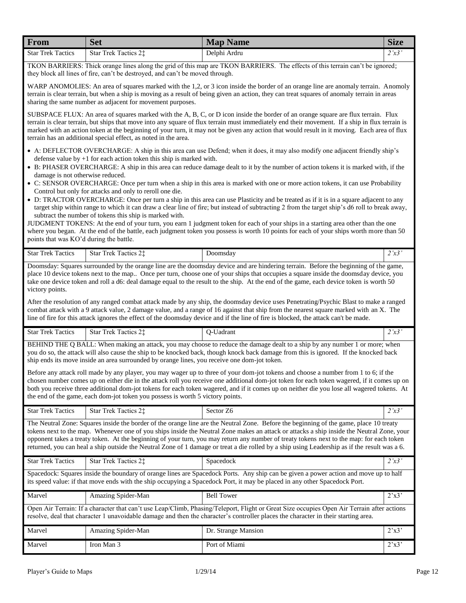| From                                                                                                                                                                                                                                                                                                                                                                                                                                                                                                                                                                                                                                                                                                                                                                                                                                                                                      | <b>Set</b>                                                                                                          | <b>Map Name</b>                                                                                                                                                                                                                                                                                                                                                                                                                                                                                                                                                       | <b>Size</b>             |  |
|-------------------------------------------------------------------------------------------------------------------------------------------------------------------------------------------------------------------------------------------------------------------------------------------------------------------------------------------------------------------------------------------------------------------------------------------------------------------------------------------------------------------------------------------------------------------------------------------------------------------------------------------------------------------------------------------------------------------------------------------------------------------------------------------------------------------------------------------------------------------------------------------|---------------------------------------------------------------------------------------------------------------------|-----------------------------------------------------------------------------------------------------------------------------------------------------------------------------------------------------------------------------------------------------------------------------------------------------------------------------------------------------------------------------------------------------------------------------------------------------------------------------------------------------------------------------------------------------------------------|-------------------------|--|
| <b>Star Trek Tactics</b>                                                                                                                                                                                                                                                                                                                                                                                                                                                                                                                                                                                                                                                                                                                                                                                                                                                                  | Star Trek Tactics 2‡<br>they block all lines of fire, can't be destroyed, and can't be moved through.               | Delphi Ardru<br>TKON BARRIERS: Thick orange lines along the grid of this map are TKON BARRIERS. The effects of this terrain can't be ignored;                                                                                                                                                                                                                                                                                                                                                                                                                         | 2'x3'                   |  |
|                                                                                                                                                                                                                                                                                                                                                                                                                                                                                                                                                                                                                                                                                                                                                                                                                                                                                           | sharing the same number as adjacent for movement purposes.                                                          | WARP ANOMOLIES: An area of squares marked with the 1,2, or 3 icon inside the border of an orange line are anomaly terrain. Anomoly<br>terrain is clear terrain, but when a ship is moving as a result of being given an action, they can treat squares of anomaly terrain in areas                                                                                                                                                                                                                                                                                    |                         |  |
|                                                                                                                                                                                                                                                                                                                                                                                                                                                                                                                                                                                                                                                                                                                                                                                                                                                                                           | terrain has an additional special effect, as noted in the area.                                                     | SUBSPACE FLUX: An area of squares marked with the A, B, C, or D icon inside the border of an orange square are flux terrain. Flux<br>terrain is clear terrain, but ships that move into any square of flux terrain must immediately end their movement. If a ship in flux terrain is<br>marked with an action token at the beginning of your turn, it may not be given any action that would result in it moving. Each area of flux                                                                                                                                   |                         |  |
| damage is not otherwise reduced.                                                                                                                                                                                                                                                                                                                                                                                                                                                                                                                                                                                                                                                                                                                                                                                                                                                          | defense value by $+1$ for each action token this ship is marked with.                                               | • A: DEFLECTOR OVERCHARGE: A ship in this area can use Defend; when it does, it may also modify one adjacent friendly ship's<br>• B: PHASER OVERCHARGE: A ship in this area can reduce damage dealt to it by the number of action tokens it is marked with, if the<br>• C: SENSOR OVERCHARGE: Once per turn when a ship in this area is marked with one or more action tokens, it can use Probability                                                                                                                                                                 |                         |  |
| points that was KO'd during the battle.                                                                                                                                                                                                                                                                                                                                                                                                                                                                                                                                                                                                                                                                                                                                                                                                                                                   | Control but only for attacks and only to reroll one die.<br>subtract the number of tokens this ship is marked with. | • D: TRACTOR OVERCHARGE: Once per turn a ship in this area can use Plasticity and be treated as if it is in a square adjacent to any<br>target ship within range to which it can draw a clear line of fire; but instead of subtracting 2 from the target ship's d6 roll to break away,<br>JUDGMENT TOKENS: At the end of your turn, you earn 1 judgment token for each of your ships in a starting area other than the one<br>where you began. At the end of the battle, each judgment token you possess is worth 10 points for each of your ships worth more than 50 |                         |  |
| <b>Star Trek Tactics</b>                                                                                                                                                                                                                                                                                                                                                                                                                                                                                                                                                                                                                                                                                                                                                                                                                                                                  | Star Trek Tactics 2‡                                                                                                | Doomsday                                                                                                                                                                                                                                                                                                                                                                                                                                                                                                                                                              | 2'x3'                   |  |
| Doomsday: Squares surrounded by the orange line are the doomsday device and are hindering terrain. Before the beginning of the game,<br>place 10 device tokens next to the map Once per turn, choose one of your ships that occupies a square inside the doomsday device, you<br>take one device token and roll a d6: deal damage equal to the result to the ship. At the end of the game, each device token is worth 50<br>victory points.<br>After the resolution of any ranged combat attack made by any ship, the doomsday device uses Penetrating/Psychic Blast to make a ranged<br>combat attack with a 9 attack value, 2 damage value, and a range of 16 against that ship from the nearest square marked with an X. The<br>line of fire for this attack ignores the effect of the doomsday device and if the line of fire is blocked, the attack can't be made.                   |                                                                                                                     |                                                                                                                                                                                                                                                                                                                                                                                                                                                                                                                                                                       |                         |  |
| <b>Star Trek Tactics</b>                                                                                                                                                                                                                                                                                                                                                                                                                                                                                                                                                                                                                                                                                                                                                                                                                                                                  | Star Trek Tactics 2‡                                                                                                | Q-Uadrant                                                                                                                                                                                                                                                                                                                                                                                                                                                                                                                                                             | 2'x3'                   |  |
| BEHIND THE Q BALL: When making an attack, you may choose to reduce the damage dealt to a ship by any number 1 or more; when<br>you do so, the attack will also cause the ship to be knocked back, though knock back damage from this is ignored. If the knocked back<br>ship ends its move inside an area surrounded by orange lines, you receive one dom-jot token.<br>Before any attack roll made by any player, you may wager up to three of your dom-jot tokens and choose a number from 1 to 6; if the<br>chosen number comes up on either die in the attack roll you receive one additional dom-jot token for each token wagered, if it comes up on<br>both you receive three additional dom-jot tokens for each token wagered, and if it comes up on neither die you lose all wagered tokens. At<br>the end of the game, each dom-jot token you possess is worth 5 victory points. |                                                                                                                     |                                                                                                                                                                                                                                                                                                                                                                                                                                                                                                                                                                       |                         |  |
| <b>Star Trek Tactics</b>                                                                                                                                                                                                                                                                                                                                                                                                                                                                                                                                                                                                                                                                                                                                                                                                                                                                  | Star Trek Tactics 2‡                                                                                                | Sector Z6                                                                                                                                                                                                                                                                                                                                                                                                                                                                                                                                                             | 2'x3'                   |  |
| The Neutral Zone: Squares inside the border of the orange line are the Neutral Zone. Before the beginning of the game, place 10 treaty<br>tokens next to the map. Whenever one of you ships inside the Neutral Zone makes an attack or attacks a ship inside the Neutral Zone, your<br>opponent takes a treaty token. At the beginning of your turn, you may return any number of treaty tokens next to the map: for each token<br>returned, you can heal a ship outside the Neutral Zone of 1 damage or treat a die rolled by a ship using Leadership as if the result was a 6.                                                                                                                                                                                                                                                                                                          |                                                                                                                     |                                                                                                                                                                                                                                                                                                                                                                                                                                                                                                                                                                       |                         |  |
| <b>Star Trek Tactics</b>                                                                                                                                                                                                                                                                                                                                                                                                                                                                                                                                                                                                                                                                                                                                                                                                                                                                  | Star Trek Tactics 2‡                                                                                                | Spacedock                                                                                                                                                                                                                                                                                                                                                                                                                                                                                                                                                             | 2'x3'                   |  |
| Spacedock: Squares inside the boundary of orange lines are Spacedock Ports. Any ship can be given a power action and move up to half<br>its speed value: if that move ends with the ship occupying a Spacedock Port, it may be placed in any other Spacedock Port.                                                                                                                                                                                                                                                                                                                                                                                                                                                                                                                                                                                                                        |                                                                                                                     |                                                                                                                                                                                                                                                                                                                                                                                                                                                                                                                                                                       |                         |  |
| Marvel                                                                                                                                                                                                                                                                                                                                                                                                                                                                                                                                                                                                                                                                                                                                                                                                                                                                                    | Amazing Spider-Man                                                                                                  | <b>Bell Tower</b>                                                                                                                                                                                                                                                                                                                                                                                                                                                                                                                                                     | 2'x3'                   |  |
| Open Air Terrain: If a character that can't use Leap/Climb, Phasing/Teleport, Flight or Great Size occupies Open Air Terrain after actions<br>resolve, deal that character 1 unavoidable damage and then the character's controller places the character in their starting area.                                                                                                                                                                                                                                                                                                                                                                                                                                                                                                                                                                                                          |                                                                                                                     |                                                                                                                                                                                                                                                                                                                                                                                                                                                                                                                                                                       |                         |  |
| Marvel                                                                                                                                                                                                                                                                                                                                                                                                                                                                                                                                                                                                                                                                                                                                                                                                                                                                                    | Amazing Spider-Man                                                                                                  | Dr. Strange Mansion                                                                                                                                                                                                                                                                                                                                                                                                                                                                                                                                                   | $2^{\prime}x3^{\prime}$ |  |
| Marvel                                                                                                                                                                                                                                                                                                                                                                                                                                                                                                                                                                                                                                                                                                                                                                                                                                                                                    | Iron Man 3                                                                                                          | Port of Miami                                                                                                                                                                                                                                                                                                                                                                                                                                                                                                                                                         | $2^{\prime}x3^{\prime}$ |  |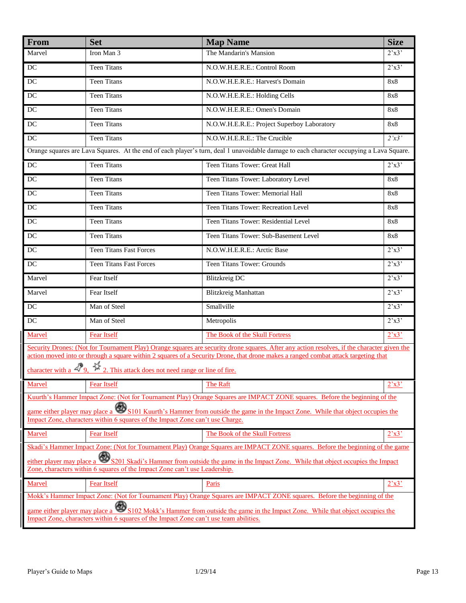| From                                                                                                                                                                                                                | <b>Set</b>                                                                                              | <b>Map Name</b>                                                                                                                                                                                                                                                                   | <b>Size</b>             |  |
|---------------------------------------------------------------------------------------------------------------------------------------------------------------------------------------------------------------------|---------------------------------------------------------------------------------------------------------|-----------------------------------------------------------------------------------------------------------------------------------------------------------------------------------------------------------------------------------------------------------------------------------|-------------------------|--|
| Marvel                                                                                                                                                                                                              | Iron Man 3                                                                                              | The Mandarin's Mansion                                                                                                                                                                                                                                                            | $2^{\prime}x3^{\prime}$ |  |
| DC                                                                                                                                                                                                                  | <b>Teen Titans</b>                                                                                      | N.O.W.H.E.R.E.: Control Room                                                                                                                                                                                                                                                      | 2'x3'                   |  |
| $\overline{DC}$                                                                                                                                                                                                     | Teen Titans                                                                                             | N.O.W.H.E.R.E.: Harvest's Domain                                                                                                                                                                                                                                                  | 8x8                     |  |
| DC                                                                                                                                                                                                                  | <b>Teen Titans</b>                                                                                      | N.O.W.H.E.R.E.: Holding Cells                                                                                                                                                                                                                                                     | 8x8                     |  |
| $DC$                                                                                                                                                                                                                | <b>Teen Titans</b>                                                                                      | N.O.W.H.E.R.E.: Omen's Domain                                                                                                                                                                                                                                                     | 8x8                     |  |
| $DC$                                                                                                                                                                                                                | <b>Teen Titans</b>                                                                                      | N.O.W.H.E.R.E.: Project Superboy Laboratory                                                                                                                                                                                                                                       | 8x8                     |  |
| $\overline{DC}$                                                                                                                                                                                                     | <b>Teen Titans</b>                                                                                      | N.O.W.H.E.R.E.: The Crucible                                                                                                                                                                                                                                                      | 2'x3'                   |  |
|                                                                                                                                                                                                                     |                                                                                                         | Orange squares are Lava Squares. At the end of each player's turn, deal 1 unavoidable damage to each character occupying a Lava Square.                                                                                                                                           |                         |  |
| $DC$                                                                                                                                                                                                                | <b>Teen Titans</b>                                                                                      | Teen Titans Tower: Great Hall                                                                                                                                                                                                                                                     | 2'x3'                   |  |
| $DC$                                                                                                                                                                                                                | <b>Teen Titans</b>                                                                                      | Teen Titans Tower: Laboratory Level                                                                                                                                                                                                                                               | 8x8                     |  |
| DC                                                                                                                                                                                                                  | <b>Teen Titans</b>                                                                                      | Teen Titans Tower: Memorial Hall                                                                                                                                                                                                                                                  | 8x8                     |  |
| DC                                                                                                                                                                                                                  | <b>Teen Titans</b>                                                                                      | Teen Titans Tower: Recreation Level                                                                                                                                                                                                                                               | 8x8                     |  |
| DC                                                                                                                                                                                                                  | <b>Teen Titans</b>                                                                                      | Teen Titans Tower: Residential Level                                                                                                                                                                                                                                              | 8x8                     |  |
| $DC$                                                                                                                                                                                                                | <b>Teen Titans</b>                                                                                      | Teen Titans Tower: Sub-Basement Level                                                                                                                                                                                                                                             | 8x8                     |  |
| DC                                                                                                                                                                                                                  | <b>Teen Titans Fast Forces</b>                                                                          | N.O.W.H.E.R.E.: Arctic Base                                                                                                                                                                                                                                                       | 2'x3'                   |  |
| $DC$                                                                                                                                                                                                                | <b>Teen Titans Fast Forces</b>                                                                          | Teen Titans Tower: Grounds                                                                                                                                                                                                                                                        | 2'x3'                   |  |
| Marvel                                                                                                                                                                                                              | Fear Itself                                                                                             | <b>Blitzkreig DC</b>                                                                                                                                                                                                                                                              | 2'x3'                   |  |
| Marvel                                                                                                                                                                                                              | Fear Itself                                                                                             | Blitzkreig Manhattan                                                                                                                                                                                                                                                              | 2'x3'                   |  |
| $DC$                                                                                                                                                                                                                | Man of Steel                                                                                            | Smallville                                                                                                                                                                                                                                                                        | 2'x3'                   |  |
| DC                                                                                                                                                                                                                  | Man of Steel                                                                                            | Metropolis                                                                                                                                                                                                                                                                        | 2'x3'                   |  |
| Marvel                                                                                                                                                                                                              | <b>Fear Itself</b>                                                                                      | The Book of the Skull Fortress                                                                                                                                                                                                                                                    | 2'x3'                   |  |
|                                                                                                                                                                                                                     | character with a $\mathcal{D}_9$ , $\mathcal{V}_{2}$ . This attack does not need range or line of fire. | Security Drones: (Not for Tournament Play) Orange squares are security drone squares. After any action resolves, if the character given the<br>action moved into or through a square within 2 squares of a Security Drone, that drone makes a ranged combat attack targeting that |                         |  |
| Marvel                                                                                                                                                                                                              | <b>Fear Itself</b>                                                                                      | The Raft                                                                                                                                                                                                                                                                          | 2'x3'                   |  |
|                                                                                                                                                                                                                     |                                                                                                         | Kuurth's Hammer Impact Zone: (Not for Tournament Play) Orange Squares are IMPACT ZONE squares. Before the beginning of the                                                                                                                                                        |                         |  |
| game either player may place a S101 Kuurth's Hammer from outside the game in the Impact Zone. While that object occupies the<br>Impact Zone, characters within 6 squares of the Impact Zone can't use Charge.       |                                                                                                         |                                                                                                                                                                                                                                                                                   |                         |  |
| Marvel                                                                                                                                                                                                              | <b>Fear Itself</b>                                                                                      | The Book of the Skull Fortress                                                                                                                                                                                                                                                    | 2'x3'                   |  |
| Skadi's Hammer Impact Zone: (Not for Tournament Play) Orange Squares are IMPACT ZONE squares. Before the beginning of the game                                                                                      |                                                                                                         |                                                                                                                                                                                                                                                                                   |                         |  |
| either player may place a S201 Skadi's Hammer from outside the game in the Impact Zone. While that object occupies the Impact<br>Zone, characters within 6 squares of the Impact Zone can't use Leadership.         |                                                                                                         |                                                                                                                                                                                                                                                                                   |                         |  |
| Marvel                                                                                                                                                                                                              | <b>Fear Itself</b>                                                                                      | Paris                                                                                                                                                                                                                                                                             | 2'x3'                   |  |
| Mokk's Hammer Impact Zone: (Not for Tournament Play) Orange Squares are IMPACT ZONE squares. Before the beginning of the                                                                                            |                                                                                                         |                                                                                                                                                                                                                                                                                   |                         |  |
| game either player may place a S102 Mokk's Hammer from outside the game in the Impact Zone. While that object occupies the<br>Impact Zone, characters within 6 squares of the Impact Zone can't use team abilities. |                                                                                                         |                                                                                                                                                                                                                                                                                   |                         |  |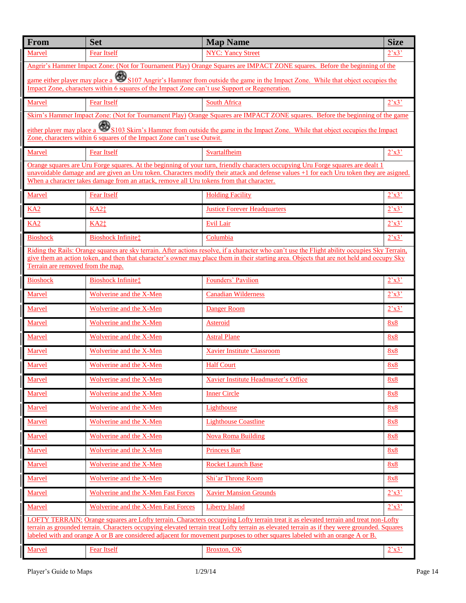| From                                                                                                                                                                                                                                                                         | <b>Set</b>                                                                                     | <b>Map Name</b>                                                                                                                                                                                                                                                                              | <b>Size</b>             |
|------------------------------------------------------------------------------------------------------------------------------------------------------------------------------------------------------------------------------------------------------------------------------|------------------------------------------------------------------------------------------------|----------------------------------------------------------------------------------------------------------------------------------------------------------------------------------------------------------------------------------------------------------------------------------------------|-------------------------|
| Marvel                                                                                                                                                                                                                                                                       | <b>Fear Itself</b>                                                                             | <b>NYC: Yancy Street</b>                                                                                                                                                                                                                                                                     | 2'x3'                   |
|                                                                                                                                                                                                                                                                              |                                                                                                | Angrir's Hammer Impact Zone: (Not for Tournament Play) Orange Squares are IMPACT ZONE squares. Before the beginning of the                                                                                                                                                                   |                         |
|                                                                                                                                                                                                                                                                              | Impact Zone, characters within 6 squares of the Impact Zone can't use Support or Regeneration. | game either player may place a S107 Angrir's Hammer from outside the game in the Impact Zone. While that object occupies the                                                                                                                                                                 |                         |
| Marvel                                                                                                                                                                                                                                                                       | <b>Fear Itself</b>                                                                             | South Africa                                                                                                                                                                                                                                                                                 | 2'x3'                   |
|                                                                                                                                                                                                                                                                              |                                                                                                | Skirn's Hammer Impact Zone: (Not for Tournament Play) Orange Squares are IMPACT ZONE squares. Before the beginning of the game                                                                                                                                                               |                         |
|                                                                                                                                                                                                                                                                              | Zone, characters within 6 squares of the Impact Zone can't use Outwit.                         | either player may place a S103 Skirn's Hammer from outside the game in the Impact Zone. While that object occupies the Impact                                                                                                                                                                |                         |
| Marvel                                                                                                                                                                                                                                                                       | <b>Fear Itself</b>                                                                             | Svartalfheim                                                                                                                                                                                                                                                                                 | 2'x3'                   |
|                                                                                                                                                                                                                                                                              |                                                                                                | Orange squares are Uru Forge squares. At the beginning of your turn, friendly characters occupying Uru Forge squares are dealt 1                                                                                                                                                             |                         |
|                                                                                                                                                                                                                                                                              | When a character takes damage from an attack, remove all Uru tokens from that character.       | unavoidable damage and are given an Uru token. Characters modify their attack and defense values +1 for each Uru token they are asigned.                                                                                                                                                     |                         |
| Marvel                                                                                                                                                                                                                                                                       | <b>Fear Itself</b>                                                                             | <b>Holding Facility</b>                                                                                                                                                                                                                                                                      | 2'x3'                   |
| KA <sub>2</sub>                                                                                                                                                                                                                                                              | KA2 <sup>t</sup>                                                                               | <b>Justice Forever Headquarters</b>                                                                                                                                                                                                                                                          | 2'x3'                   |
| KA2                                                                                                                                                                                                                                                                          | KA2 <sup>t</sup>                                                                               | <b>Evil Lair</b>                                                                                                                                                                                                                                                                             | 2'x3'                   |
| <b>Bioshock</b>                                                                                                                                                                                                                                                              | <b>Bioshock Infinite:</b>                                                                      | Columbia                                                                                                                                                                                                                                                                                     | 2'x3'                   |
|                                                                                                                                                                                                                                                                              |                                                                                                | Riding the Rails: Orange squares are sky terrain. After actions resolve, if a character who can't use the Flight ability occupies Sky Terrain,<br>give them an action token, and then that character's owner may place them in their starting area. Objects that are not held and occupy Sky |                         |
| Terrain are removed from the map.                                                                                                                                                                                                                                            |                                                                                                |                                                                                                                                                                                                                                                                                              |                         |
| <b>Bioshock</b>                                                                                                                                                                                                                                                              | <b>Bioshock Infinite‡</b>                                                                      | Founders' Pavilion                                                                                                                                                                                                                                                                           | 2'x3'                   |
| Marvel                                                                                                                                                                                                                                                                       | <b>Wolverine and the X-Men</b>                                                                 | <b>Canadian Wilderness</b>                                                                                                                                                                                                                                                                   | 2'x3'                   |
| Marvel                                                                                                                                                                                                                                                                       | <b>Wolverine and the X-Men</b>                                                                 | <b>Danger Room</b>                                                                                                                                                                                                                                                                           | $2^{\prime}x3^{\prime}$ |
| Marvel                                                                                                                                                                                                                                                                       | <b>Wolverine and the X-Men</b>                                                                 | <b>Asteroid</b>                                                                                                                                                                                                                                                                              | 8x8                     |
| Marvel                                                                                                                                                                                                                                                                       | Wolverine and the X-Men                                                                        | <b>Astral Plane</b>                                                                                                                                                                                                                                                                          | 8x8                     |
| Marvel                                                                                                                                                                                                                                                                       | Wolverine and the X-Men                                                                        | <b>Xavier Institute Classroom</b>                                                                                                                                                                                                                                                            | 8x8                     |
| Marvel                                                                                                                                                                                                                                                                       | Wolverine and the X-Men                                                                        | <b>Half Court</b>                                                                                                                                                                                                                                                                            | 8x8                     |
| Marvel                                                                                                                                                                                                                                                                       | Wolverine and the X-Men                                                                        | Xavier Institute Headmaster's Office                                                                                                                                                                                                                                                         | 8x8                     |
| Marvel                                                                                                                                                                                                                                                                       | <b>Wolverine and the X-Men</b>                                                                 | <b>Inner Circle</b>                                                                                                                                                                                                                                                                          | 8x8                     |
| Marvel                                                                                                                                                                                                                                                                       | <b>Wolverine and the X-Men</b>                                                                 | Lighthouse                                                                                                                                                                                                                                                                                   | 8x8                     |
| Marvel                                                                                                                                                                                                                                                                       | Wolverine and the X-Men                                                                        | <b>Lighthouse Coastline</b>                                                                                                                                                                                                                                                                  | 8x8                     |
| Marvel                                                                                                                                                                                                                                                                       | <b>Wolverine and the X-Men</b>                                                                 | <b>Nova Roma Building</b>                                                                                                                                                                                                                                                                    | 8x8                     |
| Marvel                                                                                                                                                                                                                                                                       | Wolverine and the X-Men                                                                        | <b>Princess Bar</b>                                                                                                                                                                                                                                                                          | 8x8                     |
| Marvel                                                                                                                                                                                                                                                                       | <b>Wolverine and the X-Men</b>                                                                 | <b>Rocket Launch Base</b>                                                                                                                                                                                                                                                                    | 8x8                     |
| Marvel                                                                                                                                                                                                                                                                       | <b>Wolverine and the X-Men</b>                                                                 | Shi'ar Throne Room                                                                                                                                                                                                                                                                           | 8x8                     |
| Marvel                                                                                                                                                                                                                                                                       | <b>Wolverine and the X-Men Fast Forces</b>                                                     | <b>Xavier Mansion Grounds</b>                                                                                                                                                                                                                                                                | 2'x3'                   |
| Marvel                                                                                                                                                                                                                                                                       | <b>Wolverine and the X-Men Fast Forces</b>                                                     | <b>Liberty Island</b>                                                                                                                                                                                                                                                                        | 2'x3'                   |
| LOFTY TERRAIN: Orange squares are Lofty terrain. Characters occupying Lofty terrain treat it as elevated terrain and treat non-Lofty                                                                                                                                         |                                                                                                |                                                                                                                                                                                                                                                                                              |                         |
| terrain as grounded terrain. Characters occupying elevated terrain treat Lofty terrain as elevated terrain as if they were grounded. Squares<br>labeled with and orange A or B are considered adjacent for movement purposes to other squares labeled with an orange A or B. |                                                                                                |                                                                                                                                                                                                                                                                                              |                         |
| Marvel                                                                                                                                                                                                                                                                       | <b>Fear Itself</b>                                                                             | Broxton, OK                                                                                                                                                                                                                                                                                  | 2'x3'                   |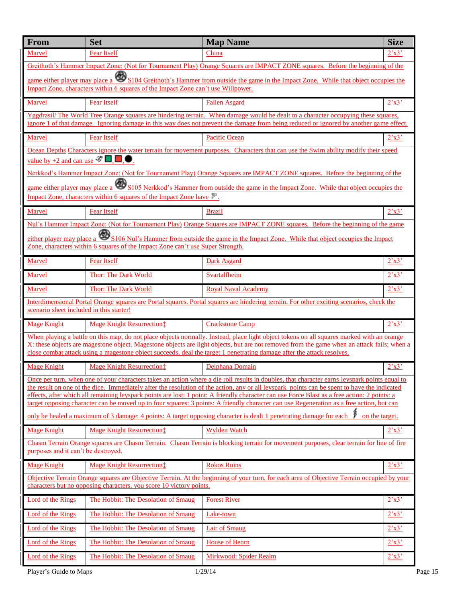| From                                                                                                                                                                                                              | <b>Set</b>                                                                       | <b>Map Name</b>                                                                                                                                                                                                                                                                                                                                                                                                                          | <b>Size</b>             |  |
|-------------------------------------------------------------------------------------------------------------------------------------------------------------------------------------------------------------------|----------------------------------------------------------------------------------|------------------------------------------------------------------------------------------------------------------------------------------------------------------------------------------------------------------------------------------------------------------------------------------------------------------------------------------------------------------------------------------------------------------------------------------|-------------------------|--|
| Marvel                                                                                                                                                                                                            | <b>Fear Itself</b>                                                               | China                                                                                                                                                                                                                                                                                                                                                                                                                                    | $2^{\prime}x3^{\prime}$ |  |
|                                                                                                                                                                                                                   |                                                                                  | Greithoth's Hammer Impact Zone: (Not for Tournament Play) Orange Squares are IMPACT ZONE squares. Before the beginning of the                                                                                                                                                                                                                                                                                                            |                         |  |
|                                                                                                                                                                                                                   | Impact Zone, characters within 6 squares of the Impact Zone can't use Willpower. | game either player may place a S104 Greithoth's Hammer from outside the game in the Impact Zone. While that object occupies the                                                                                                                                                                                                                                                                                                          |                         |  |
| Marvel                                                                                                                                                                                                            | <b>Fear Itself</b>                                                               | <b>Fallen Asgard</b>                                                                                                                                                                                                                                                                                                                                                                                                                     | $2^{\prime}x3^{\prime}$ |  |
|                                                                                                                                                                                                                   |                                                                                  | Yggdrasil/The World Tree Orange squares are hindering terrain. When damage would be dealt to a character occupying these squares,<br>ignore 1 of that damage. Ignoring damage in this way does not prevent the damage from being reduced or ignored by another game effect.                                                                                                                                                              |                         |  |
| Marvel                                                                                                                                                                                                            | <b>Fear Itself</b>                                                               | <b>Pacific Ocean</b>                                                                                                                                                                                                                                                                                                                                                                                                                     | 2'x3'                   |  |
| value by +2 and can use $\mathscr{F}$ $\Box$ .                                                                                                                                                                    |                                                                                  | Ocean Depths Characters ignore the water terrain for movement purposes. Characters that can use the Swim ability modify their speed<br>Nerkkod's Hammer Impact Zone: (Not for Tournament Play) Orange Squares are IMPACT ZONE squares. Before the beginning of the                                                                                                                                                                       |                         |  |
|                                                                                                                                                                                                                   | Impact Zone, characters within 6 squares of the Impact Zone have                 | game either player may place a <b>S105</b> Nerkkod's Hammer from outside the game in the Impact Zone. While that object occupies the                                                                                                                                                                                                                                                                                                     |                         |  |
| Marvel                                                                                                                                                                                                            | <b>Fear Itself</b>                                                               | <b>Brazil</b>                                                                                                                                                                                                                                                                                                                                                                                                                            | 2'x3'                   |  |
|                                                                                                                                                                                                                   |                                                                                  | Nul's Hammer Impact Zone: (Not for Tournament Play) Orange Squares are IMPACT ZONE squares. Before the beginning of the game                                                                                                                                                                                                                                                                                                             |                         |  |
|                                                                                                                                                                                                                   | Zone, characters within 6 squares of the Impact Zone can't use Super Strength.   | either player may place a S106 Nul's Hammer from outside the game in the Impact Zone. While that object occupies the Impact                                                                                                                                                                                                                                                                                                              |                         |  |
| Marvel                                                                                                                                                                                                            | <b>Fear Itself</b>                                                               | <b>Dark Asgard</b>                                                                                                                                                                                                                                                                                                                                                                                                                       | 2'x3'                   |  |
| Marvel                                                                                                                                                                                                            | <b>Thor: The Dark World</b>                                                      | Svartalfheim                                                                                                                                                                                                                                                                                                                                                                                                                             | 2'x3'                   |  |
| Marvel                                                                                                                                                                                                            | Thor: The Dark World                                                             | <b>Royal Naval Academy</b>                                                                                                                                                                                                                                                                                                                                                                                                               | $2^{\prime}x3^{\prime}$ |  |
| scenario sheet included in this starter!                                                                                                                                                                          |                                                                                  | Interdimensional Portal Orange squares are Portal squares. Portal squares are hindering terrain. For other exciting scenarios, check the                                                                                                                                                                                                                                                                                                 |                         |  |
| <b>Mage Knight</b>                                                                                                                                                                                                | <b>Mage Knight Resurrection:</b>                                                 | <b>Crackstone Camp</b>                                                                                                                                                                                                                                                                                                                                                                                                                   | 2'x3'                   |  |
|                                                                                                                                                                                                                   |                                                                                  | When playing a battle on this map, do not place objects normally. Instead, place light object tokens on all squares marked with an orange<br>X: these objects are magestone object. Magestone objects are light objects, but are not removed from the game when an attack fails; when a<br>close combat attack using a magestone object succeeds, deal the target 1 penetrating damage after the attack resolves.                        |                         |  |
| <b>Mage Knight</b>                                                                                                                                                                                                | <b>Mage Knight Resurrection:</b>                                                 | Delphana Domain                                                                                                                                                                                                                                                                                                                                                                                                                          | 2'x3'                   |  |
|                                                                                                                                                                                                                   |                                                                                  | Once per turn, when one of your characters takes an action where a die roll results in doubles, that character earns leyspark points equal to                                                                                                                                                                                                                                                                                            |                         |  |
|                                                                                                                                                                                                                   |                                                                                  | the result on one of the dice. Immediately after the resolution of the action, any or all leyspark points can be spent to have the indicated<br>effects, after which all remaining leyspark points are lost: 1 point: A friendly character can use Force Blast as a free action: 2 points: a<br>target opposing character can be moved up to four squares: 3 points: A friendly character can use Regeneration as a free action, but can |                         |  |
|                                                                                                                                                                                                                   |                                                                                  | only be healed a maximum of 3 damage: 4 points: A target opposing character is dealt 1 penetrating damage for each $\ddot{p}$<br>on the target.                                                                                                                                                                                                                                                                                          |                         |  |
| <b>Mage Knight</b>                                                                                                                                                                                                | <b>Mage Knight Resurrection</b> #                                                | <b>Wylden Watch</b>                                                                                                                                                                                                                                                                                                                                                                                                                      | 2'x3'                   |  |
| Chasm Terrain Orange squares are Chasm Terrain. Chasm Terrain is blocking terrain for movement purposes, clear terrain for line of fire<br>purposes and it can't be destroyed.                                    |                                                                                  |                                                                                                                                                                                                                                                                                                                                                                                                                                          |                         |  |
| <b>Mage Knight</b>                                                                                                                                                                                                | <b>Mage Knight Resurrection:</b>                                                 | <b>Rokos Ruins</b>                                                                                                                                                                                                                                                                                                                                                                                                                       | 2'x3'                   |  |
| Objective Terrain Orange squares are Objective Terrain. At the beginning of your turn, for each area of Objective Terrain occupied by your<br>characters but no opposing characters, you score 10 victory points. |                                                                                  |                                                                                                                                                                                                                                                                                                                                                                                                                                          |                         |  |
| Lord of the Rings                                                                                                                                                                                                 | The Hobbit: The Desolation of Smaug                                              | <b>Forest River</b>                                                                                                                                                                                                                                                                                                                                                                                                                      | 2'x3'                   |  |
| <b>Lord of the Rings</b>                                                                                                                                                                                          | The Hobbit: The Desolation of Smaug                                              | Lake-town                                                                                                                                                                                                                                                                                                                                                                                                                                | 2'x3'                   |  |
| <b>Lord of the Rings</b>                                                                                                                                                                                          | The Hobbit: The Desolation of Smaug                                              | <b>Lair of Smaug</b>                                                                                                                                                                                                                                                                                                                                                                                                                     | 2'x3'                   |  |
| <b>Lord of the Rings</b>                                                                                                                                                                                          | The Hobbit: The Desolation of Smaug                                              | <b>House of Beorn</b>                                                                                                                                                                                                                                                                                                                                                                                                                    | 2'x3'                   |  |
| <b>Lord of the Rings</b>                                                                                                                                                                                          | The Hobbit: The Desolation of Smaug                                              | <b>Mirkwood: Spider Realm</b>                                                                                                                                                                                                                                                                                                                                                                                                            | 2'x3'                   |  |